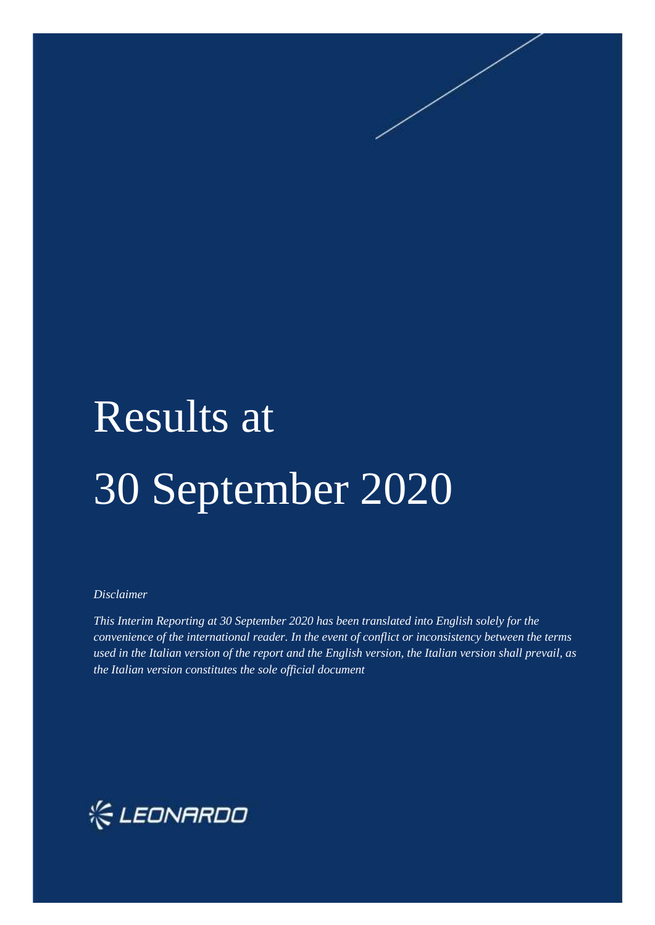# Results at 30 September 2020

*Disclaimer*

*This Interim Reporting at 30 September 2020 has been translated into English solely for the convenience of the international reader. In the event of conflict or inconsistency between the terms used in the Italian version of the report and the English version, the Italian version shall prevail, as the Italian version constitutes the sole official document*

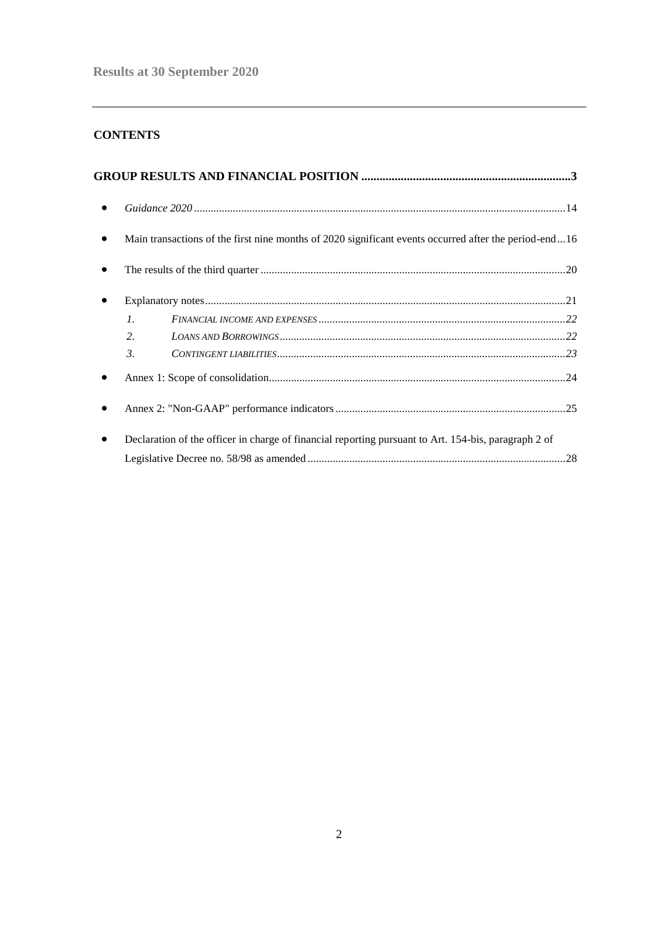# **CONTENTS**

|           |                 | Main transactions of the first nine months of 2020 significant events occurred after the period-end16 |  |
|-----------|-----------------|-------------------------------------------------------------------------------------------------------|--|
|           |                 |                                                                                                       |  |
|           |                 |                                                                                                       |  |
|           | $\mathcal{I}$ . |                                                                                                       |  |
|           | 2.              |                                                                                                       |  |
|           | $\mathfrak{Z}$  |                                                                                                       |  |
|           |                 |                                                                                                       |  |
|           |                 |                                                                                                       |  |
| $\bullet$ |                 | Declaration of the officer in charge of financial reporting pursuant to Art. 154-bis, paragraph 2 of  |  |
|           |                 |                                                                                                       |  |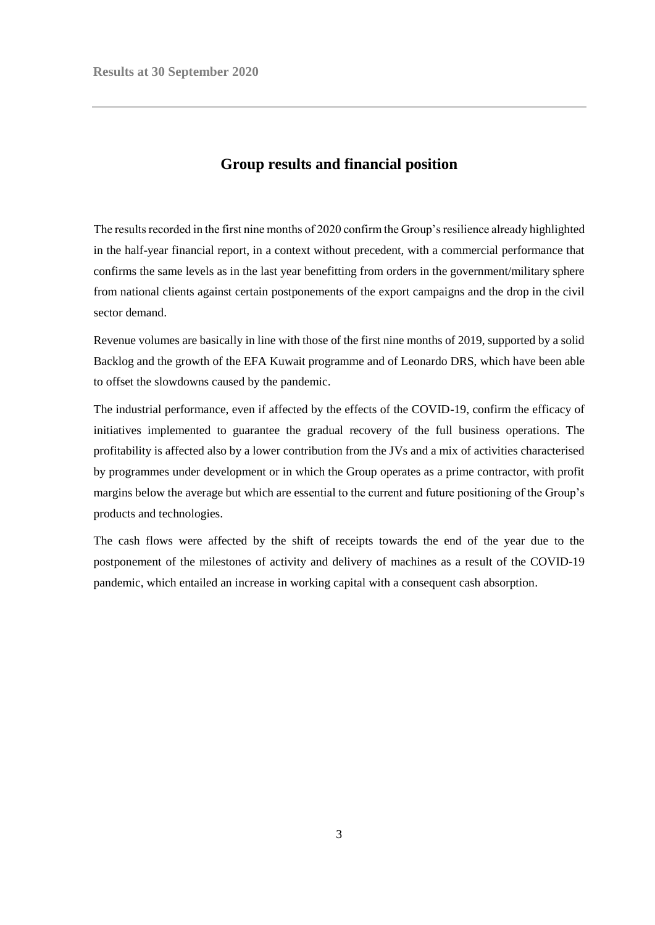# **Group results and financial position**

<span id="page-2-0"></span>The results recorded in the first nine months of 2020 confirm the Group's resilience already highlighted in the half-year financial report, in a context without precedent, with a commercial performance that confirms the same levels as in the last year benefitting from orders in the government/military sphere from national clients against certain postponements of the export campaigns and the drop in the civil sector demand.

Revenue volumes are basically in line with those of the first nine months of 2019, supported by a solid Backlog and the growth of the EFA Kuwait programme and of Leonardo DRS, which have been able to offset the slowdowns caused by the pandemic.

The industrial performance, even if affected by the effects of the COVID-19, confirm the efficacy of initiatives implemented to guarantee the gradual recovery of the full business operations. The profitability is affected also by a lower contribution from the JVs and a mix of activities characterised by programmes under development or in which the Group operates as a prime contractor, with profit margins below the average but which are essential to the current and future positioning of the Group's products and technologies.

The cash flows were affected by the shift of receipts towards the end of the year due to the postponement of the milestones of activity and delivery of machines as a result of the COVID-19 pandemic, which entailed an increase in working capital with a consequent cash absorption.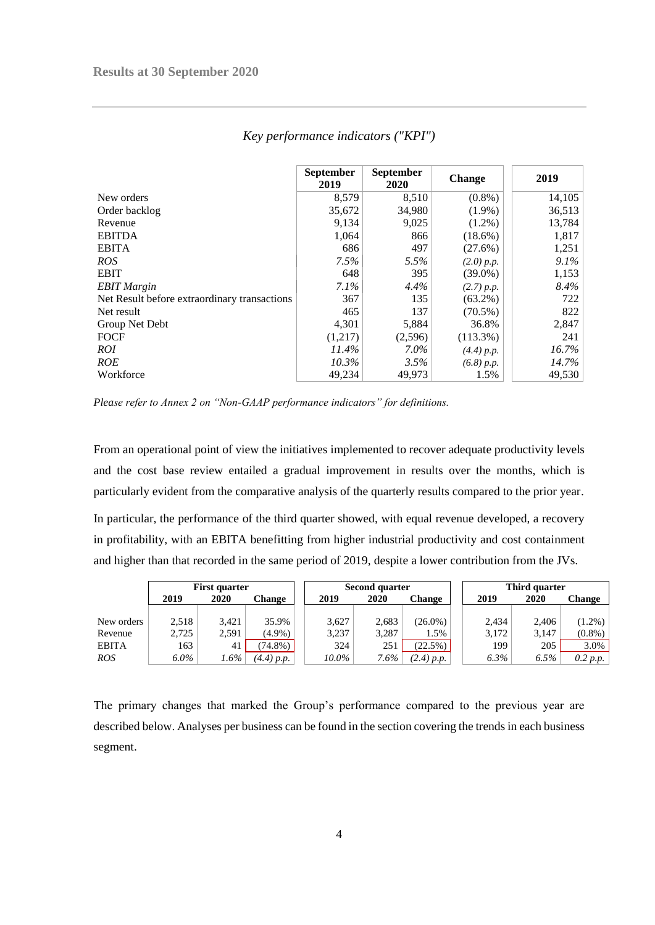|                                              | <b>September</b><br>2019 | <b>September</b><br>2020 | <b>Change</b> | 2019    |
|----------------------------------------------|--------------------------|--------------------------|---------------|---------|
| New orders                                   | 8,579                    | 8,510                    | $(0.8\%)$     | 14,105  |
| Order backlog                                | 35,672                   | 34,980                   | $(1.9\%)$     | 36,513  |
| Revenue                                      | 9,134                    | 9,025                    | $(1.2\%)$     | 13,784  |
| <b>EBITDA</b>                                | 1,064                    | 866                      | $(18.6\%)$    | 1,817   |
| <b>EBITA</b>                                 | 686                      | 497                      | (27.6%)       | 1,251   |
| ROS                                          | 7.5%                     | 5.5%                     | (2.0) p.p.    | $9.1\%$ |
| <b>EBIT</b>                                  | 648                      | 395                      | $(39.0\%)$    | 1,153   |
| <b>EBIT</b> Margin                           | $7.1\%$                  | 4.4%                     | (2.7) p.p.    | 8.4%    |
| Net Result before extraordinary transactions | 367                      | 135                      | $(63.2\%)$    | 722     |
| Net result                                   | 465                      | 137                      | $(70.5\%)$    | 822     |
| Group Net Debt                               | 4,301                    | 5,884                    | 36.8%         | 2,847   |
| <b>FOCF</b>                                  | (1,217)                  | (2,596)                  | $(113.3\%)$   | 241     |
| <i>ROI</i>                                   | $11.4\%$                 | $7.0\%$                  | (4.4) p.p.    | 16.7%   |
| ROE                                          | $10.3\%$                 | 3.5%                     | (6.8) p.p.    | 14.7%   |
| Workforce                                    | 49,234                   | 49,973                   | 1.5%          | 49,530  |

## *Key performance indicators ("KPI")*

*Please refer to Annex 2 on "Non-GAAP performance indicators" for definitions.*

From an operational point of view the initiatives implemented to recover adequate productivity levels and the cost base review entailed a gradual improvement in results over the months, which is particularly evident from the comparative analysis of the quarterly results compared to the prior year.

In particular, the performance of the third quarter showed, with equal revenue developed, a recovery in profitability, with an EBITA benefitting from higher industrial productivity and cost containment and higher than that recorded in the same period of 2019, despite a lower contribution from the JVs.

|              | <b>First quarter</b> |       |            | Second quarter |         |               | Third quarter |         |       |               |
|--------------|----------------------|-------|------------|----------------|---------|---------------|---------------|---------|-------|---------------|
|              | 2019                 | 2020  | Change     | 2019           | 2020    | <b>Change</b> |               | 2019    | 2020  | <b>Change</b> |
|              |                      |       |            |                |         |               |               |         |       |               |
| New orders   | 2.518                | 3.421 | 35.9%      | 3,627          | 2.683   | $(26.0\%)$    |               | 2.434   | 2,406 | $(1.2\%)$     |
| Revenue      | 2,725                | 2,591 | $(4.9\%)$  | 3,237          | 3.287   | $1.5\%$       |               | 3,172   | 3,147 | $(0.8\%)$     |
| <b>EBITA</b> | 163                  | 41    | $(74.8\%)$ | 324            | 251     | (22.5%)       |               | 199     | 205   | $3.0\%$       |
| <b>ROS</b>   | $6.0\%$              | .6%   | (4.4) p.p. | 10.0%          | $7.6\%$ | (2.4) p.p.    |               | $6.3\%$ | 6.5%  | 0.2 p.p.      |

The primary changes that marked the Group's performance compared to the previous year are described below. Analyses per business can be found in the section covering the trends in each business segment.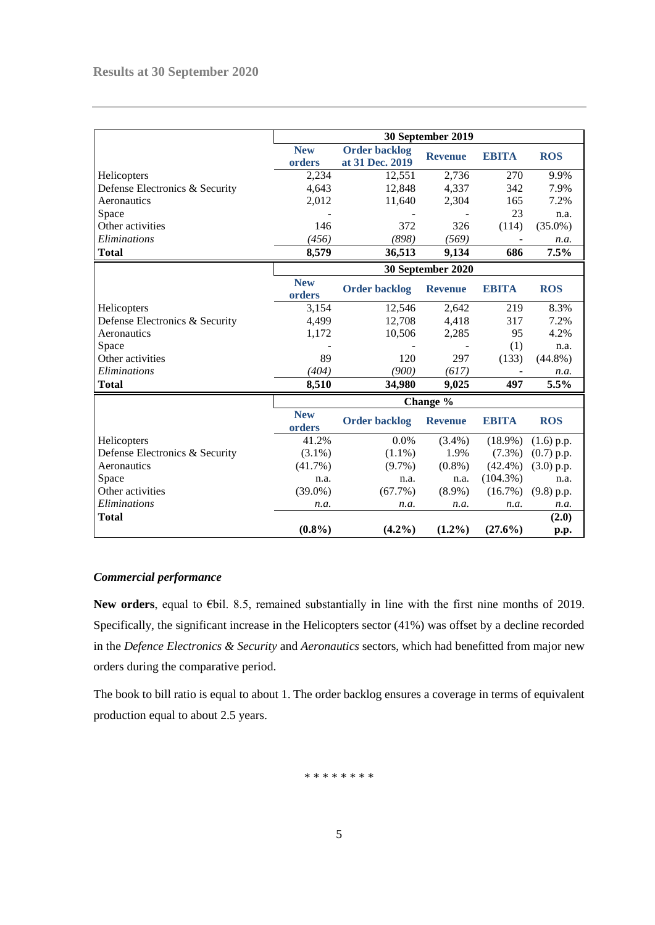|                                | <b>30 September 2019</b> |                                         |                   |                          |              |  |  |
|--------------------------------|--------------------------|-----------------------------------------|-------------------|--------------------------|--------------|--|--|
|                                | <b>New</b><br>orders     | <b>Order backlog</b><br>at 31 Dec. 2019 | <b>Revenue</b>    | <b>EBITA</b>             | <b>ROS</b>   |  |  |
| Helicopters                    | 2,234                    | 12,551                                  | 2,736             | 270                      | 9.9%         |  |  |
| Defense Electronics & Security | 4,643                    | 12,848                                  | 4,337             | 342                      | 7.9%         |  |  |
| Aeronautics                    | 2,012                    | 11,640                                  | 2,304             | 165                      | 7.2%         |  |  |
| Space                          |                          |                                         |                   | 23                       | n.a.         |  |  |
| Other activities               | 146                      | 372                                     | 326               | (114)                    | $(35.0\%)$   |  |  |
| Eliminations                   | (456)                    | (898)                                   | (569)             |                          | n.a.         |  |  |
| <b>Total</b>                   | 8,579                    | 36,513                                  | 9,134             | 686                      | 7.5%         |  |  |
|                                |                          |                                         | 30 September 2020 |                          |              |  |  |
|                                | <b>New</b><br>orders     | <b>Order backlog</b>                    | <b>Revenue</b>    | EBITA                    | <b>ROS</b>   |  |  |
| Helicopters                    | 3,154                    | 12,546                                  | 2,642             | 219                      | 8.3%         |  |  |
| Defense Electronics & Security | 4,499                    | 12,708                                  | 4,418             | 317                      | 7.2%         |  |  |
| Aeronautics                    | 1,172                    | 10,506                                  | 2,285             | 95                       | 4.2%         |  |  |
| Space                          |                          |                                         |                   | (1)                      | n.a.         |  |  |
| Other activities               | 89                       | 120                                     | 297               | (133)                    | $(44.8\%)$   |  |  |
| Eliminations                   | (404)                    | (900)                                   | (617)             | $\overline{\phantom{a}}$ | n.a.         |  |  |
| <b>Total</b>                   | 8,510                    | 34,980                                  | 9,025             | 497                      | 5.5%         |  |  |
|                                |                          |                                         | Change %          |                          |              |  |  |
|                                | <b>New</b><br>orders     | <b>Order backlog</b>                    | <b>Revenue</b>    | <b>EBITA</b>             | <b>ROS</b>   |  |  |
| Helicopters                    | 41.2%                    | 0.0%                                    | $(3.4\%)$         | $(18.9\%)$               | $(1.6)$ p.p. |  |  |
| Defense Electronics & Security | $(3.1\%)$                | $(1.1\%)$                               | 1.9%              | $(7.3\%)$                | $(0.7)$ p.p. |  |  |
| Aeronautics                    | $(41.7\%)$               | $(9.7\%)$                               | $(0.8\%)$         | $(42.4\%)$               | $(3.0)$ p.p. |  |  |
| Space                          | n.a.                     | n.a.                                    | n.a.              | $(104.3\%)$              | n.a.         |  |  |
| Other activities               | $(39.0\%)$               | $(67.7\%)$                              | $(8.9\%)$         | $(16.7\%)$               | $(9.8)$ p.p. |  |  |
| Eliminations                   | n.a.                     | n.a.                                    | n.a.              | n.a.                     | n.a.         |  |  |
| <b>Total</b>                   |                          |                                         |                   |                          | (2.0)        |  |  |
|                                | $(0.8\%)$                | $(4.2\%)$                               | $(1.2\%)$         | $(27.6\%)$               | p.p.         |  |  |

## *Commercial performance*

New orders, equal to €bil. 8.5, remained substantially in line with the first nine months of 2019. Specifically, the significant increase in the Helicopters sector (41%) was offset by a decline recorded in the *Defence Electronics & Security* and *Aeronautics* sectors, which had benefitted from major new orders during the comparative period.

The book to bill ratio is equal to about 1. The order backlog ensures a coverage in terms of equivalent production equal to about 2.5 years.

\* \* \* \* \* \* \* \*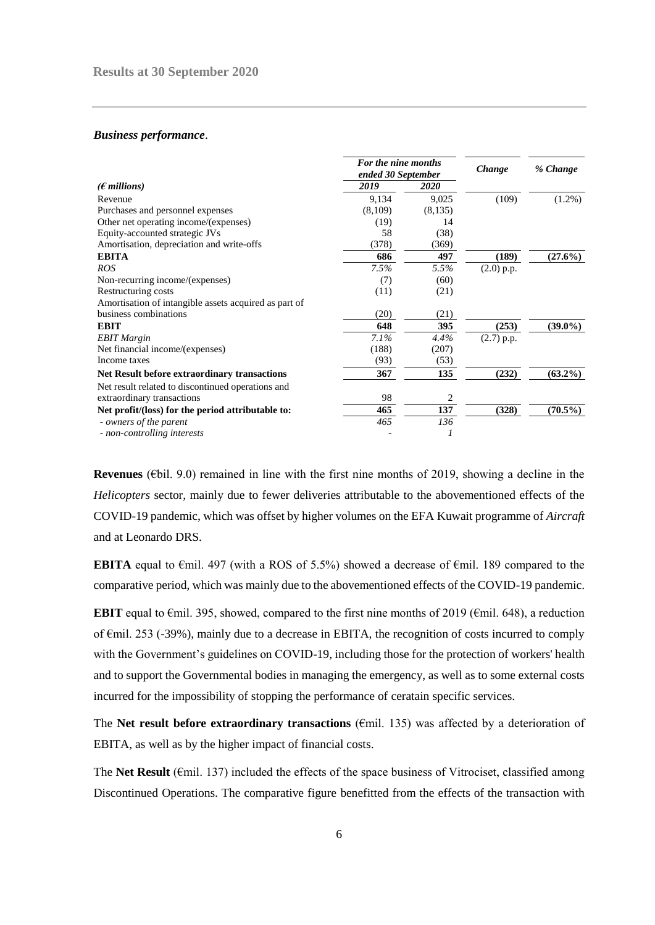#### *Business performance*.

|                                                       | For the nine months<br>ended 30 September |          | Change       | % Change   |
|-------------------------------------------------------|-------------------------------------------|----------|--------------|------------|
| $(\epsilon$ millions)                                 | 2019                                      | 2020     |              |            |
| Revenue                                               | 9,134                                     | 9,025    | (109)        | $(1.2\%)$  |
| Purchases and personnel expenses                      | (8,109)                                   | (8, 135) |              |            |
| Other net operating income/(expenses)                 | (19)                                      | 14       |              |            |
| Equity-accounted strategic JVs                        | 58                                        | (38)     |              |            |
| Amortisation, depreciation and write-offs             | (378)                                     | (369)    |              |            |
| <b>EBITA</b>                                          | 686                                       | 497      | (189)        | (27.6%)    |
| <b>ROS</b>                                            | 7.5%                                      | 5.5%     | $(2.0)$ p.p. |            |
| Non-recurring income/(expenses)                       | (7)                                       | (60)     |              |            |
| Restructuring costs                                   | (11)                                      | (21)     |              |            |
| Amortisation of intangible assets acquired as part of |                                           |          |              |            |
| business combinations                                 | (20)                                      | (21)     |              |            |
| <b>EBIT</b>                                           | 648                                       | 395      | (253)        | $(39.0\%)$ |
| <b>EBIT</b> Margin                                    | 7.1%                                      | 4.4%     | $(2.7)$ p.p. |            |
| Net financial income/(expenses)                       | (188)                                     | (207)    |              |            |
| Income taxes                                          | (93)                                      | (53)     |              |            |
| <b>Net Result before extraordinary transactions</b>   | 367                                       | 135      | (232)        | $(63.2\%)$ |
| Net result related to discontinued operations and     |                                           |          |              |            |
| extraordinary transactions                            | 98                                        | 2        |              |            |
| Net profit/(loss) for the period attributable to:     | 465                                       | 137      | (328)        | $(70.5\%)$ |
| - owners of the parent                                | 465                                       | 136      |              |            |
| - non-controlling interests                           |                                           | 1        |              |            |

**Revenues** (€bil. 9.0) remained in line with the first nine months of 2019, showing a decline in the *Helicopters* sector, mainly due to fewer deliveries attributable to the abovementioned effects of the COVID-19 pandemic, which was offset by higher volumes on the EFA Kuwait programme of *Aircraft* and at Leonardo DRS.

**EBITA** equal to €mil. 497 (with a ROS of 5.5%) showed a decrease of €mil. 189 compared to the comparative period, which was mainly due to the abovementioned effects of the COVID-19 pandemic.

**EBIT** equal to €mil. 395, showed, compared to the first nine months of 2019 (€mil. 648), a reduction of €mil. 253 (-39%), mainly due to a decrease in EBITA, the recognition of costs incurred to comply with the Government's guidelines on COVID-19, including those for the protection of workers' health and to support the Governmental bodies in managing the emergency, as well as to some external costs incurred for the impossibility of stopping the performance of ceratain specific services.

The **Net result before extraordinary transactions** (€mil. 135) was affected by a deterioration of EBITA, as well as by the higher impact of financial costs.

The **Net Result** (€mil. 137) included the effects of the space business of Vitrociset, classified among Discontinued Operations. The comparative figure benefitted from the effects of the transaction with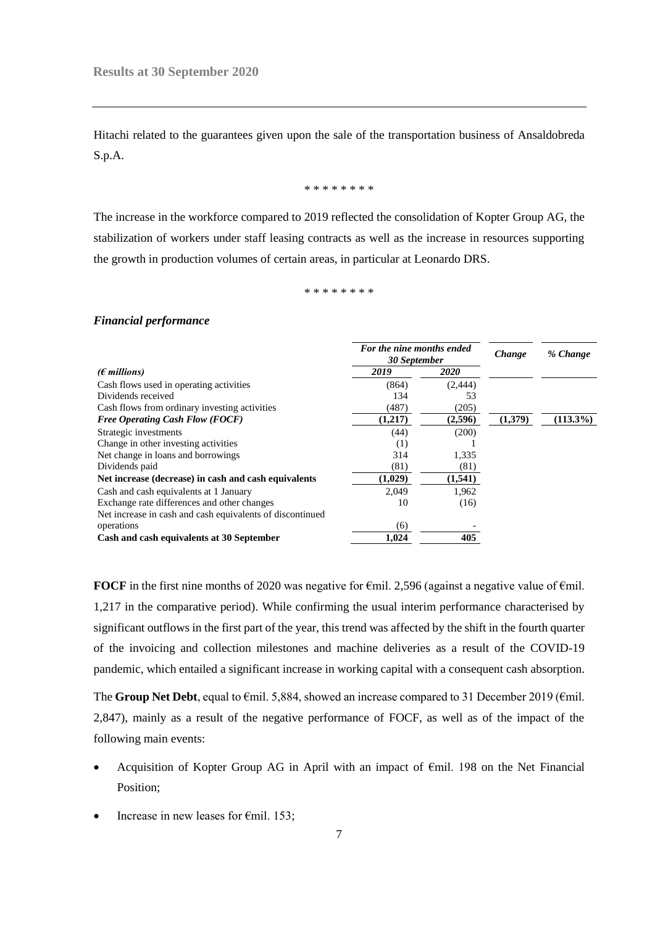Hitachi related to the guarantees given upon the sale of the transportation business of Ansaldobreda S.p.A.

\* \* \* \* \* \* \* \*

The increase in the workforce compared to 2019 reflected the consolidation of Kopter Group AG, the stabilization of workers under staff leasing contracts as well as the increase in resources supporting the growth in production volumes of certain areas, in particular at Leonardo DRS.

\* \* \* \* \* \* \*

#### *Financial performance*

|                                                           | For the nine months ended<br>30 September |          | Change  | % Change    |
|-----------------------------------------------------------|-------------------------------------------|----------|---------|-------------|
| $(\epsilon$ millions)                                     | 2019                                      | 2020     |         |             |
| Cash flows used in operating activities                   | (864)                                     | (2, 444) |         |             |
| Dividends received                                        | 134                                       | 53       |         |             |
| Cash flows from ordinary investing activities             | (487)                                     | (205)    |         |             |
| <b>Free Operating Cash Flow (FOCF)</b>                    | (1,217)                                   | (2,596)  | (1,379) | $(113.3\%)$ |
| Strategic investments                                     | (44)                                      | (200)    |         |             |
| Change in other investing activities                      | (1)                                       |          |         |             |
| Net change in loans and borrowings                        | 314                                       | 1,335    |         |             |
| Dividends paid                                            | (81)                                      | (81)     |         |             |
| Net increase (decrease) in cash and cash equivalents      | (1,029)                                   | (1,541)  |         |             |
| Cash and cash equivalents at 1 January                    | 2,049                                     | 1,962    |         |             |
| Exchange rate differences and other changes               | 10                                        | (16)     |         |             |
| Net increase in cash and cash equivalents of discontinued |                                           |          |         |             |
| operations                                                | (6)                                       |          |         |             |
| Cash and cash equivalents at 30 September                 | 1,024                                     | 405      |         |             |

**FOCF** in the first nine months of 2020 was negative for  $\epsilon$ mil. 2,596 (against a negative value of  $\epsilon$ mil. 1,217 in the comparative period). While confirming the usual interim performance characterised by significant outflows in the first part of the year, this trend was affected by the shift in the fourth quarter of the invoicing and collection milestones and machine deliveries as a result of the COVID-19 pandemic, which entailed a significant increase in working capital with a consequent cash absorption.

The **Group Net Debt**, equal to €mil. 5,884, showed an increase compared to 31 December 2019 (€mil. 2,847), mainly as a result of the negative performance of FOCF, as well as of the impact of the following main events:

- Acquisition of Kopter Group AG in April with an impact of €mil. 198 on the Net Financial Position;
- Increase in new leases for €mil. 153;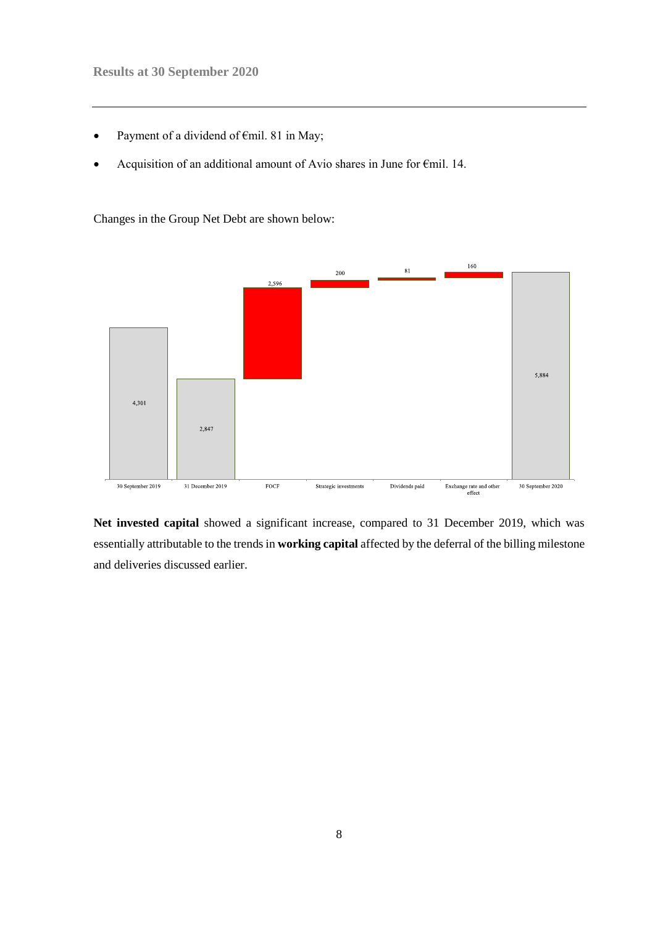- Payment of a dividend of  $\epsilon$ mil. 81 in May;
- Acquisition of an additional amount of Avio shares in June for €mil. 14.

Changes in the Group Net Debt are shown below:



**Net invested capital** showed a significant increase, compared to 31 December 2019, which was essentially attributable to the trends in **working capital** affected by the deferral of the billing milestone and deliveries discussed earlier.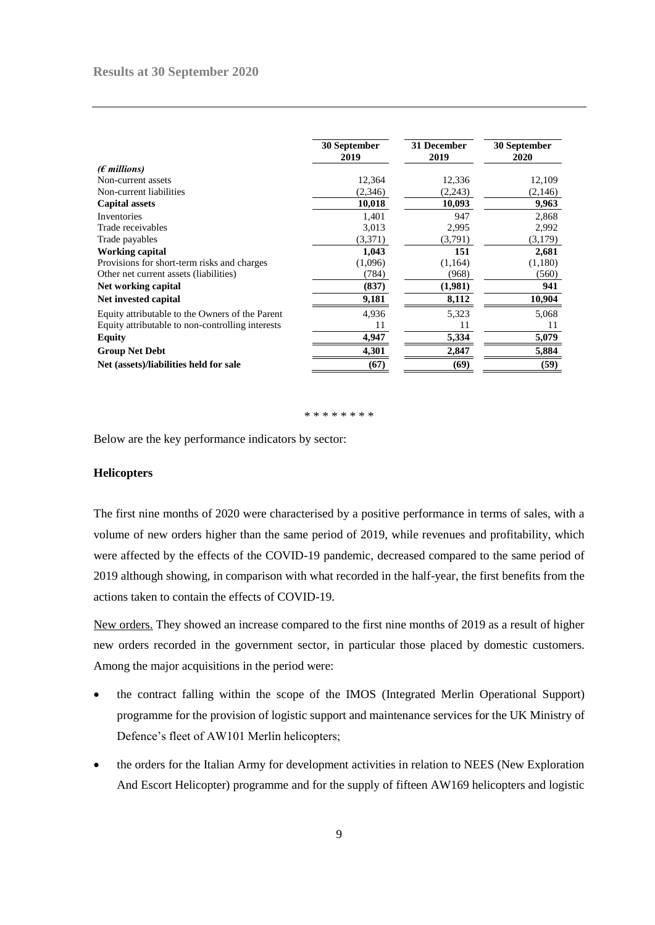|                                                  | 30 September<br>2019 | 31 December<br>2019 | 30 September<br>2020 |
|--------------------------------------------------|----------------------|---------------------|----------------------|
| $(\epsilon$ millions)                            |                      |                     |                      |
| Non-current assets                               | 12,364               | 12,336              | 12,109               |
| Non-current liabilities                          | (2,346)              | (2,243)             | (2,146)              |
| <b>Capital assets</b>                            | 10,018               | 10,093              | 9,963                |
| Inventories                                      | 1.401                | 947                 | 2,868                |
| Trade receivables                                | 3,013                | 2,995               | 2,992                |
| Trade payables                                   | (3,371)              | (3,791)             | (3,179)              |
| <b>Working capital</b>                           | 1,043                | 151                 | 2,681                |
| Provisions for short-term risks and charges      | (1,096)              | (1,164)             | (1,180)              |
| Other net current assets (liabilities)           | (784)                | (968)               | (560)                |
| Net working capital                              | (837)                | (1,981)             | 941                  |
| Net invested capital                             | 9,181                | 8,112               | 10,904               |
| Equity attributable to the Owners of the Parent  | 4,936                | 5,323               | 5,068                |
| Equity attributable to non-controlling interests | 11                   | 11                  | 11                   |
| <b>Equity</b>                                    | 4,947                | 5,334               | 5,079                |
| <b>Group Net Debt</b>                            | 4,301                | 2,847               | 5,884                |
| Net (assets)/liabilities held for sale           | (67)                 | (69)                | (59)                 |

\* \* \* \* \* \* \* \*

Below are the key performance indicators by sector:

#### **Helicopters**

The first nine months of 2020 were characterised by a positive performance in terms of sales, with a volume of new orders higher than the same period of 2019, while revenues and profitability, which were affected by the effects of the COVID-19 pandemic, decreased compared to the same period of 2019 although showing, in comparison with what recorded in the half-year, the first benefits from the actions taken to contain the effects of COVID-19.

New orders. They showed an increase compared to the first nine months of 2019 as a result of higher new orders recorded in the government sector, in particular those placed by domestic customers. Among the major acquisitions in the period were:

- the contract falling within the scope of the IMOS (Integrated Merlin Operational Support) programme for the provision of logistic support and maintenance services for the UK Ministry of Defence's fleet of AW101 Merlin helicopters;
- the orders for the Italian Army for development activities in relation to NEES (New Exploration And Escort Helicopter) programme and for the supply of fifteen AW169 helicopters and logistic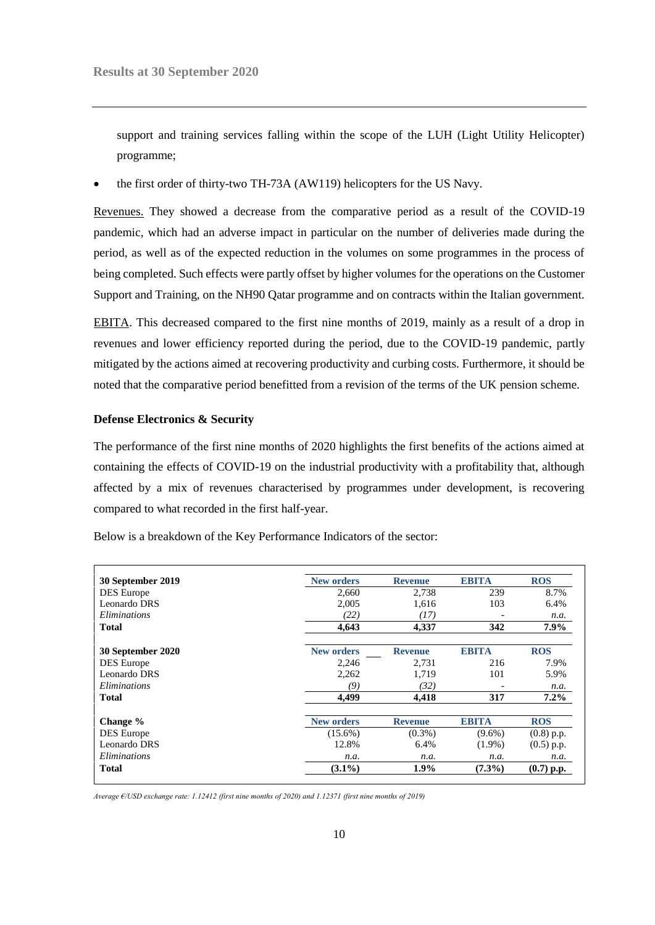support and training services falling within the scope of the LUH (Light Utility Helicopter) programme;

• the first order of thirty-two TH-73A (AW119) helicopters for the US Navy.

Revenues. They showed a decrease from the comparative period as a result of the COVID-19 pandemic, which had an adverse impact in particular on the number of deliveries made during the period, as well as of the expected reduction in the volumes on some programmes in the process of being completed. Such effects were partly offset by higher volumes for the operations on the Customer Support and Training, on the NH90 Qatar programme and on contracts within the Italian government.

EBITA. This decreased compared to the first nine months of 2019, mainly as a result of a drop in revenues and lower efficiency reported during the period, due to the COVID-19 pandemic, partly mitigated by the actions aimed at recovering productivity and curbing costs. Furthermore, it should be noted that the comparative period benefitted from a revision of the terms of the UK pension scheme.

#### **Defense Electronics & Security**

The performance of the first nine months of 2020 highlights the first benefits of the actions aimed at containing the effects of COVID-19 on the industrial productivity with a profitability that, although affected by a mix of revenues characterised by programmes under development, is recovering compared to what recorded in the first half-year.

| 30 September 2019 | <b>New orders</b> | <b>Revenue</b> | <b>EBITA</b> | <b>ROS</b>   |
|-------------------|-------------------|----------------|--------------|--------------|
| <b>DES</b> Europe | 2.660             | 2.738          | 239          | 8.7%         |
| Leonardo DRS      | 2,005             | 1,616          | 103          | 6.4%         |
| Eliminations      | (22)              | (17)           |              | n.a.         |
| <b>Total</b>      | 4.643             | 4.337          | 342          | $7.9\%$      |
| 30 September 2020 | <b>New orders</b> | <b>Revenue</b> | <b>EBITA</b> | <b>ROS</b>   |
| <b>DES</b> Europe | 2,246             | 2.731          | 216          | 7.9%         |
| Leonardo DRS      | 2,262             | 1,719          | 101          | 5.9%         |
| Eliminations      | (9)               | (32)           |              | n.a.         |
| <b>Total</b>      | 4.499             | 4.418          | 317          | $7.2\%$      |
| Change %          | <b>New orders</b> | <b>Revenue</b> | <b>EBITA</b> | <b>ROS</b>   |
| <b>DES</b> Europe | $(15.6\%)$        | $(0.3\%)$      | $(9.6\%)$    | $(0.8)$ p.p. |
| Leonardo DRS      | 12.8%             | 6.4%           | $(1.9\%)$    | $(0.5)$ p.p. |
| Eliminations      | n.a.              | n.a.           | n.a.         | n.a.         |
| <b>Total</b>      | $(3.1\%)$         | $1.9\%$        | $(7.3\%)$    | $(0.7)$ p.p. |

Below is a breakdown of the Key Performance Indicators of the sector:

*Average €/USD exchange rate: 1.12412 (first nine months of 2020) and 1.12371 (first nine months of 2019)*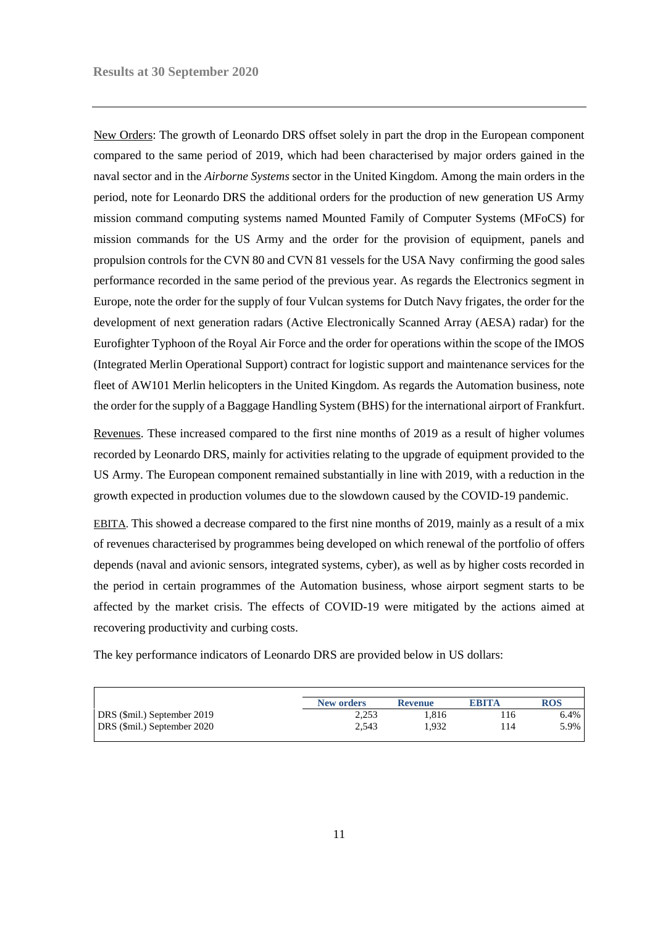New Orders: The growth of Leonardo DRS offset solely in part the drop in the European component compared to the same period of 2019, which had been characterised by major orders gained in the naval sector and in the *Airborne Systems* sector in the United Kingdom. Among the main orders in the period, note for Leonardo DRS the additional orders for the production of new generation US Army mission command computing systems named Mounted Family of Computer Systems (MFoCS) for mission commands for the US Army and the order for the provision of equipment, panels and propulsion controls for the CVN 80 and CVN 81 vessels for the USA Navy confirming the good sales performance recorded in the same period of the previous year. As regards the Electronics segment in Europe, note the order for the supply of four Vulcan systems for Dutch Navy frigates, the order for the development of next generation radars (Active Electronically Scanned Array (AESA) radar) for the Eurofighter Typhoon of the Royal Air Force and the order for operations within the scope of the IMOS (Integrated Merlin Operational Support) contract for logistic support and maintenance services for the fleet of AW101 Merlin helicopters in the United Kingdom. As regards the Automation business, note the order for the supply of a Baggage Handling System (BHS) for the international airport of Frankfurt.

Revenues. These increased compared to the first nine months of 2019 as a result of higher volumes recorded by Leonardo DRS, mainly for activities relating to the upgrade of equipment provided to the US Army. The European component remained substantially in line with 2019, with a reduction in the growth expected in production volumes due to the slowdown caused by the COVID-19 pandemic.

EBITA. This showed a decrease compared to the first nine months of 2019, mainly as a result of a mix of revenues characterised by programmes being developed on which renewal of the portfolio of offers depends (naval and avionic sensors, integrated systems, cyber), as well as by higher costs recorded in the period in certain programmes of the Automation business, whose airport segment starts to be affected by the market crisis. The effects of COVID-19 were mitigated by the actions aimed at recovering productivity and curbing costs.

The key performance indicators of Leonardo DRS are provided below in US dollars:

|                             | New orders | <b>Revenue</b> | <b>ERITA</b> | <b>ROS</b> |
|-----------------------------|------------|----------------|--------------|------------|
| DRS (\$mil.) September 2019 | 2.253      | 1.816          | .16          | 6.4%       |
| DRS (\$mil.) September 2020 | 2.543      | 1.932          | 114          | 5.9%       |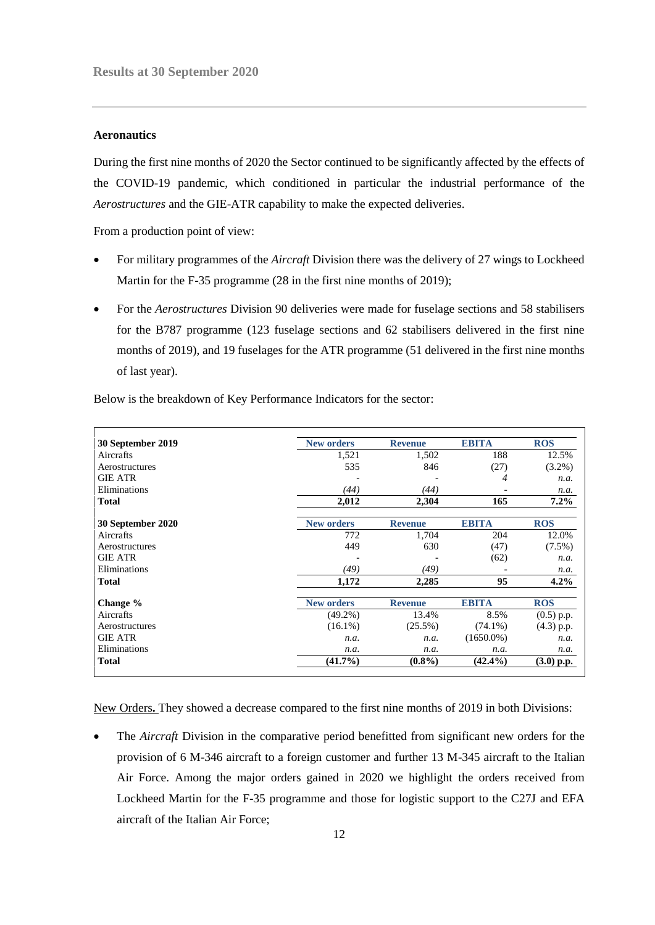#### **Aeronautics**

During the first nine months of 2020 the Sector continued to be significantly affected by the effects of the COVID-19 pandemic, which conditioned in particular the industrial performance of the *Aerostructures* and the GIE-ATR capability to make the expected deliveries.

From a production point of view:

- For military programmes of the *Aircraft* Division there was the delivery of 27 wings to Lockheed Martin for the F-35 programme (28 in the first nine months of 2019);
- For the *Aerostructures* Division 90 deliveries were made for fuselage sections and 58 stabilisers for the B787 programme (123 fuselage sections and 62 stabilisers delivered in the first nine months of 2019), and 19 fuselages for the ATR programme (51 delivered in the first nine months of last year).

| 30 September 2019 | <b>New orders</b> | <b>Revenue</b> | <b>EBITA</b> | <b>ROS</b>   |
|-------------------|-------------------|----------------|--------------|--------------|
| Aircrafts         | 1,521             | 1,502          | 188          | 12.5%        |
| Aerostructures    | 535               | 846            | (27)         | $(3.2\%)$    |
| <b>GIE ATR</b>    |                   |                | 4            | n.a.         |
| Eliminations      | (44)              | (44)           |              | n.a.         |
| <b>Total</b>      | 2,012             | 2,304          | 165          | $7.2\%$      |
| 30 September 2020 | <b>New orders</b> | <b>Revenue</b> | <b>EBITA</b> | <b>ROS</b>   |
| Aircrafts         | 772               | 1,704          | 204          | 12.0%        |
| Aerostructures    | 449               | 630            | (47)         | $(7.5\%)$    |
| <b>GIE ATR</b>    |                   |                | (62)         | n.a.         |
| Eliminations      | (49)              | (49)           |              | n.a.         |
| <b>Total</b>      | 1,172             | 2,285          | 95           | $4.2\%$      |
| Change %          | <b>New orders</b> | <b>Revenue</b> | <b>EBITA</b> | <b>ROS</b>   |
| Aircrafts         | $(49.2\%)$        | 13.4%          | 8.5%         | $(0.5)$ p.p. |
| Aerostructures    | $(16.1\%)$        | $(25.5\%)$     | $(74.1\%)$   | $(4.3)$ p.p. |
| <b>GIE ATR</b>    | n.a.              | n.a.           | $(1650.0\%)$ | n.a.         |
| Eliminations      | n.a.              | n.a.           | n.a.         | n.a.         |
| <b>Total</b>      | $(41.7\%)$        | $(0.8\%)$      | $(42.4\%)$   | $(3.0)$ p.p. |

Below is the breakdown of Key Performance Indicators for the sector:

New Orders**.** They showed a decrease compared to the first nine months of 2019 in both Divisions:

 The *Aircraft* Division in the comparative period benefitted from significant new orders for the provision of 6 M-346 aircraft to a foreign customer and further 13 M-345 aircraft to the Italian Air Force. Among the major orders gained in 2020 we highlight the orders received from Lockheed Martin for the F-35 programme and those for logistic support to the C27J and EFA aircraft of the Italian Air Force;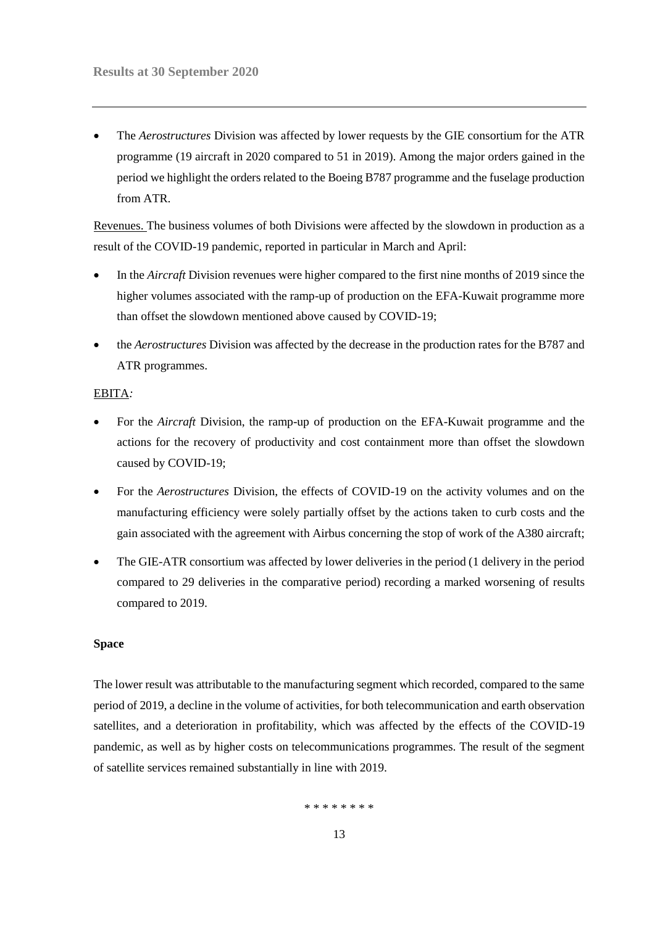The *Aerostructures* Division was affected by lower requests by the GIE consortium for the ATR programme (19 aircraft in 2020 compared to 51 in 2019). Among the major orders gained in the period we highlight the orders related to the Boeing B787 programme and the fuselage production from ATR.

Revenues. The business volumes of both Divisions were affected by the slowdown in production as a result of the COVID-19 pandemic, reported in particular in March and April:

- In the *Aircraft* Division revenues were higher compared to the first nine months of 2019 since the higher volumes associated with the ramp-up of production on the EFA-Kuwait programme more than offset the slowdown mentioned above caused by COVID-19;
- the *Aerostructures* Division was affected by the decrease in the production rates for the B787 and ATR programmes.

#### EBITA*:*

- For the *Aircraft* Division, the ramp-up of production on the EFA-Kuwait programme and the actions for the recovery of productivity and cost containment more than offset the slowdown caused by COVID-19;
- For the *Aerostructures* Division, the effects of COVID-19 on the activity volumes and on the manufacturing efficiency were solely partially offset by the actions taken to curb costs and the gain associated with the agreement with Airbus concerning the stop of work of the A380 aircraft;
- The GIE-ATR consortium was affected by lower deliveries in the period (1 delivery in the period compared to 29 deliveries in the comparative period) recording a marked worsening of results compared to 2019.

#### **Space**

The lower result was attributable to the manufacturing segment which recorded, compared to the same period of 2019, a decline in the volume of activities, for both telecommunication and earth observation satellites, and a deterioration in profitability, which was affected by the effects of the COVID-19 pandemic, as well as by higher costs on telecommunications programmes. The result of the segment of satellite services remained substantially in line with 2019.

\* \* \* \* \* \* \* \*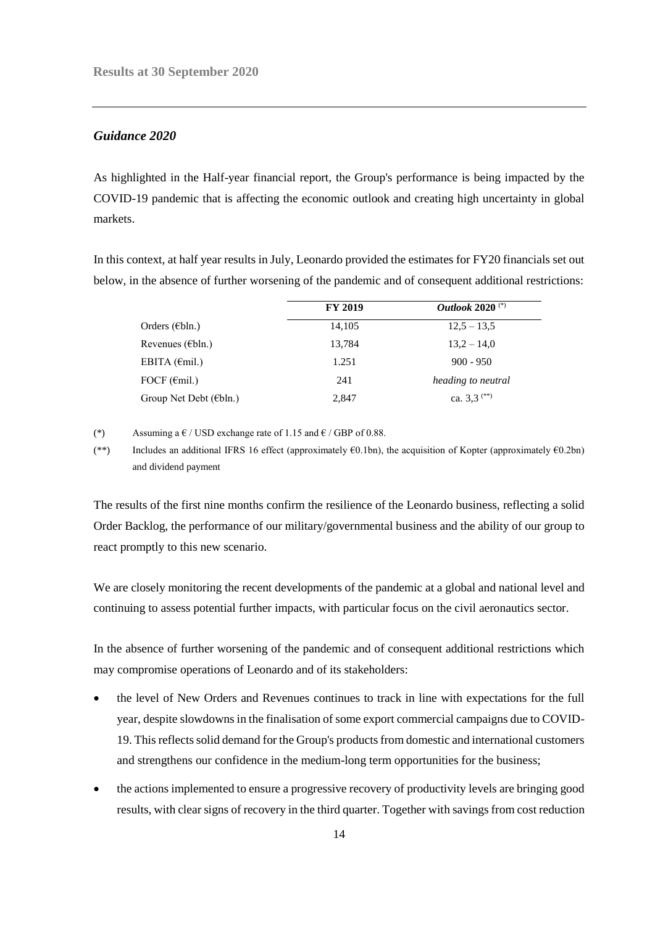## <span id="page-13-0"></span>*Guidance 2020*

As highlighted in the Half-year financial report, the Group's performance is being impacted by the COVID-19 pandemic that is affecting the economic outlook and creating high uncertainty in global markets.

In this context, at half year results in July, Leonardo provided the estimates for FY20 financials set out below, in the absence of further worsening of the pandemic and of consequent additional restrictions:

|                               | <b>FY 2019</b> | <b>Outlook 2020</b> <sup>(*)</sup> |
|-------------------------------|----------------|------------------------------------|
| Orders $(\in$ bln.)           | 14,105         | $12.5 - 13.5$                      |
| Revenues ( $\in$ bln.)        | 13,784         | $13.2 - 14.0$                      |
| EBITA $(\epsilon$ mil.)       | 1.251          | $900 - 950$                        |
| FOCF $(\epsilon \text{mil.})$ | 241            | heading to neutral                 |
| Group Net Debt ( $\in$ bln.)  | 2,847          | ca. $3,3^{(*)}$                    |

(\*) Assuming a  $\varepsilon$  / USD exchange rate of 1.15 and  $\varepsilon$  / GBP of 0.88.

(\*\*) Includes an additional IFRS 16 effect (approximately  $\epsilon$ 0.1bn), the acquisition of Kopter (approximately  $\epsilon$ 0.2bn) and dividend payment

The results of the first nine months confirm the resilience of the Leonardo business, reflecting a solid Order Backlog, the performance of our military/governmental business and the ability of our group to react promptly to this new scenario.

We are closely monitoring the recent developments of the pandemic at a global and national level and continuing to assess potential further impacts, with particular focus on the civil aeronautics sector.

In the absence of further worsening of the pandemic and of consequent additional restrictions which may compromise operations of Leonardo and of its stakeholders:

- the level of New Orders and Revenues continues to track in line with expectations for the full year, despite slowdowns in the finalisation of some export commercial campaigns due to COVID-19. This reflects solid demand for the Group's products from domestic and international customers and strengthens our confidence in the medium-long term opportunities for the business;
- the actions implemented to ensure a progressive recovery of productivity levels are bringing good results, with clear signs of recovery in the third quarter. Together with savings from cost reduction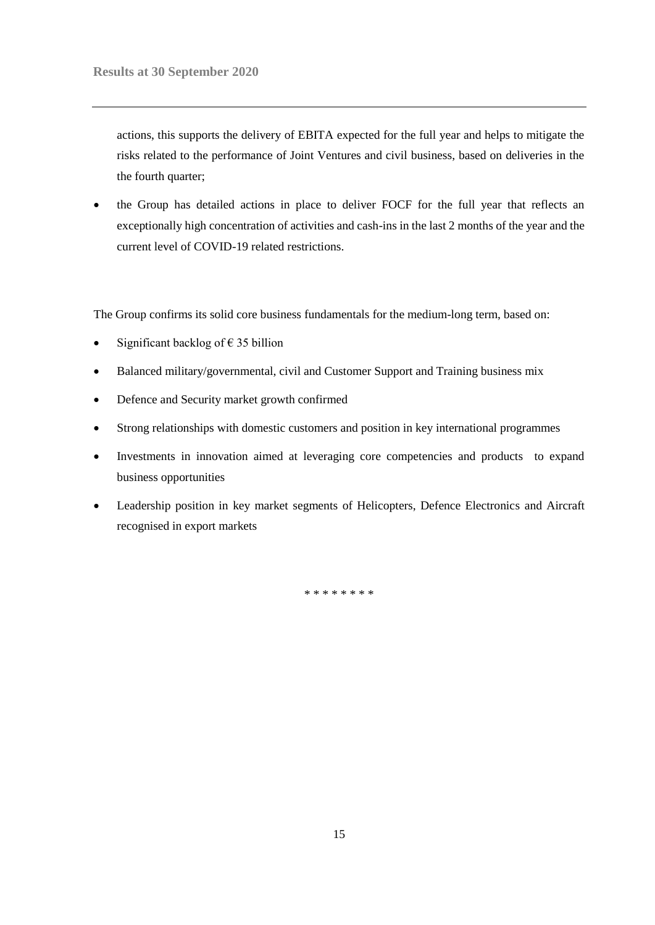actions, this supports the delivery of EBITA expected for the full year and helps to mitigate the risks related to the performance of Joint Ventures and civil business, based on deliveries in the the fourth quarter;

• the Group has detailed actions in place to deliver FOCF for the full year that reflects an exceptionally high concentration of activities and cash-ins in the last 2 months of the year and the current level of COVID-19 related restrictions.

The Group confirms its solid core business fundamentals for the medium-long term, based on:

- Significant backlog of  $\epsilon$  35 billion
- Balanced military/governmental, civil and Customer Support and Training business mix
- Defence and Security market growth confirmed
- Strong relationships with domestic customers and position in key international programmes
- Investments in innovation aimed at leveraging core competencies and products to expand business opportunities
- Leadership position in key market segments of Helicopters, Defence Electronics and Aircraft recognised in export markets

\* \* \* \* \* \* \* \*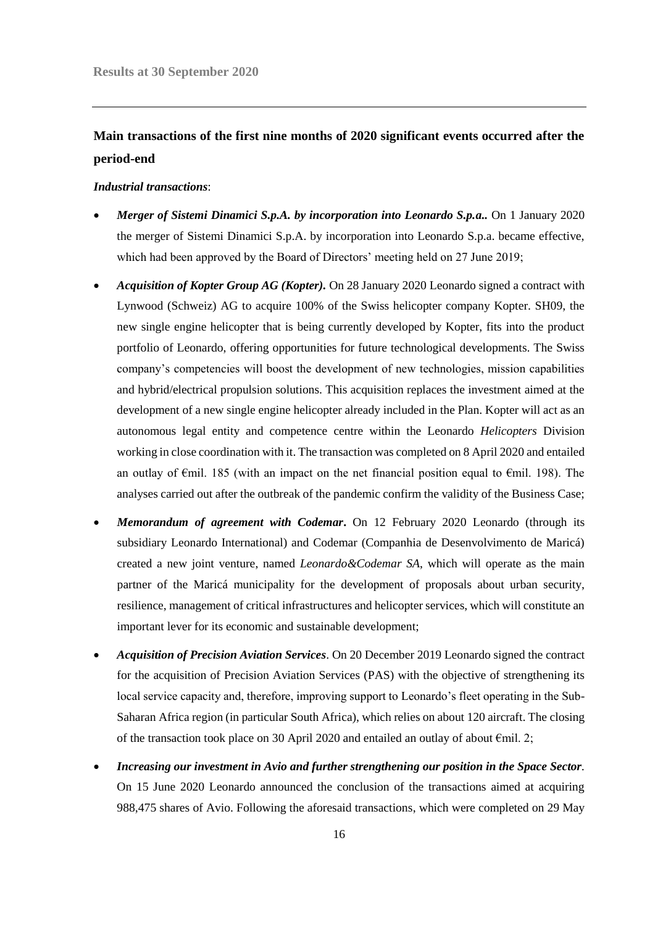# <span id="page-15-0"></span>**Main transactions of the first nine months of 2020 significant events occurred after the period-end**

### *Industrial transactions*:

- *Merger of Sistemi Dinamici S.p.A. by incorporation into Leonardo S.p.a..* On 1 January 2020 the merger of Sistemi Dinamici S.p.A. by incorporation into Leonardo S.p.a. became effective, which had been approved by the Board of Directors' meeting held on 27 June 2019;
- *Acquisition of Kopter Group AG (Kopter).* On 28 January 2020 Leonardo signed a contract with Lynwood (Schweiz) AG to acquire 100% of the Swiss helicopter company Kopter. SH09, the new single engine helicopter that is being currently developed by Kopter, fits into the product portfolio of Leonardo, offering opportunities for future technological developments. The Swiss company's competencies will boost the development of new technologies, mission capabilities and hybrid/electrical propulsion solutions. This acquisition replaces the investment aimed at the development of a new single engine helicopter already included in the Plan. Kopter will act as an autonomous legal entity and competence centre within the Leonardo *Helicopters* Division working in close coordination with it. The transaction was completed on 8 April 2020 and entailed an outlay of €mil. 185 (with an impact on the net financial position equal to €mil. 198). The analyses carried out after the outbreak of the pandemic confirm the validity of the Business Case;
- *Memorandum of agreement with Codemar***.** On 12 February 2020 Leonardo (through its subsidiary Leonardo International) and Codemar (Companhia de Desenvolvimento de Maricá) created a new joint venture, named *Leonardo&Codemar SA*, which will operate as the main partner of the Maricá municipality for the development of proposals about urban security, resilience, management of critical infrastructures and helicopter services, which will constitute an important lever for its economic and sustainable development;
- *Acquisition of Precision Aviation Services*. On 20 December 2019 Leonardo signed the contract for the acquisition of Precision Aviation Services (PAS) with the objective of strengthening its local service capacity and, therefore, improving support to Leonardo's fleet operating in the Sub-Saharan Africa region (in particular South Africa), which relies on about 120 aircraft. The closing of the transaction took place on 30 April 2020 and entailed an outlay of about  $\epsilon$ mil. 2;
- *Increasing our investment in Avio and further strengthening our position in the Space Sector.* On 15 June 2020 Leonardo announced the conclusion of the transactions aimed at acquiring 988,475 shares of Avio. Following the aforesaid transactions, which were completed on 29 May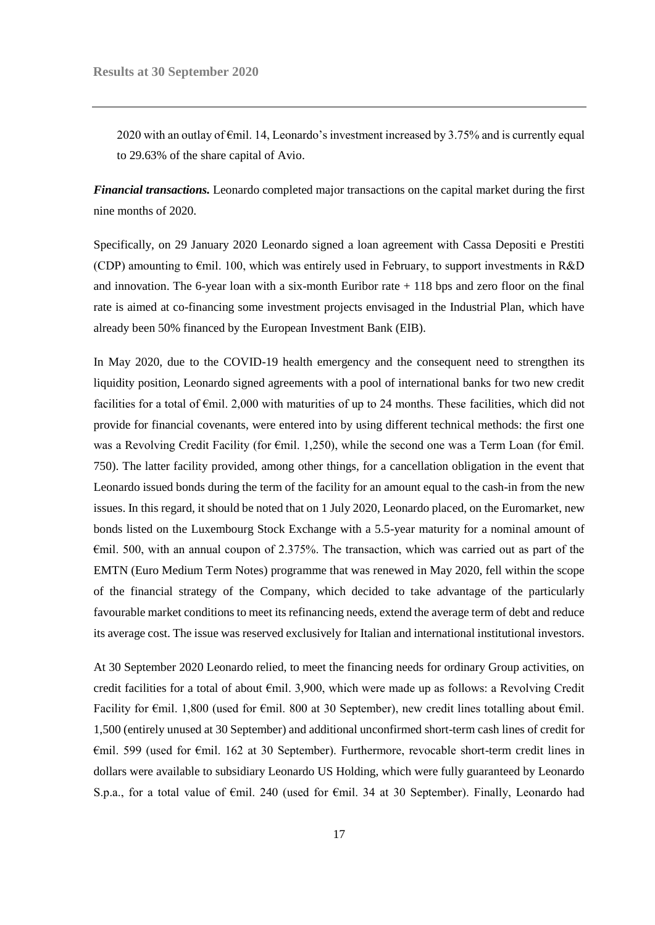2020 with an outlay of €mil. 14, Leonardo's investment increased by 3.75% and is currently equal to 29.63% of the share capital of Avio.

*Financial transactions.* Leonardo completed major transactions on the capital market during the first nine months of 2020.

Specifically, on 29 January 2020 Leonardo signed a loan agreement with Cassa Depositi e Prestiti (CDP) amounting to  $\epsilon$ mil. 100, which was entirely used in February, to support investments in R&D and innovation. The 6-year loan with a six-month Euribor rate  $+118$  bps and zero floor on the final rate is aimed at co-financing some investment projects envisaged in the Industrial Plan, which have already been 50% financed by the European Investment Bank (EIB).

In May 2020, due to the COVID-19 health emergency and the consequent need to strengthen its liquidity position, Leonardo signed agreements with a pool of international banks for two new credit facilities for a total of  $\epsilon$ mil. 2,000 with maturities of up to 24 months. These facilities, which did not provide for financial covenants, were entered into by using different technical methods: the first one was a Revolving Credit Facility (for €mil. 1,250), while the second one was a Term Loan (for €mil. 750). The latter facility provided, among other things, for a cancellation obligation in the event that Leonardo issued bonds during the term of the facility for an amount equal to the cash-in from the new issues. In this regard, it should be noted that on 1 July 2020, Leonardo placed, on the Euromarket, new bonds listed on the Luxembourg Stock Exchange with a 5.5-year maturity for a nominal amount of €mil. 500, with an annual coupon of 2.375%. The transaction, which was carried out as part of the EMTN (Euro Medium Term Notes) programme that was renewed in May 2020, fell within the scope of the financial strategy of the Company, which decided to take advantage of the particularly favourable market conditions to meet its refinancing needs, extend the average term of debt and reduce its average cost. The issue was reserved exclusively for Italian and international institutional investors.

At 30 September 2020 Leonardo relied, to meet the financing needs for ordinary Group activities, on credit facilities for a total of about €mil. 3,900, which were made up as follows: a Revolving Credit Facility for €mil. 1,800 (used for €mil. 800 at 30 September), new credit lines totalling about €mil. 1,500 (entirely unused at 30 September) and additional unconfirmed short-term cash lines of credit for €mil. 599 (used for €mil. 162 at 30 September). Furthermore, revocable short-term credit lines in dollars were available to subsidiary Leonardo US Holding, which were fully guaranteed by Leonardo S.p.a., for a total value of €mil. 240 (used for €mil. 34 at 30 September). Finally, Leonardo had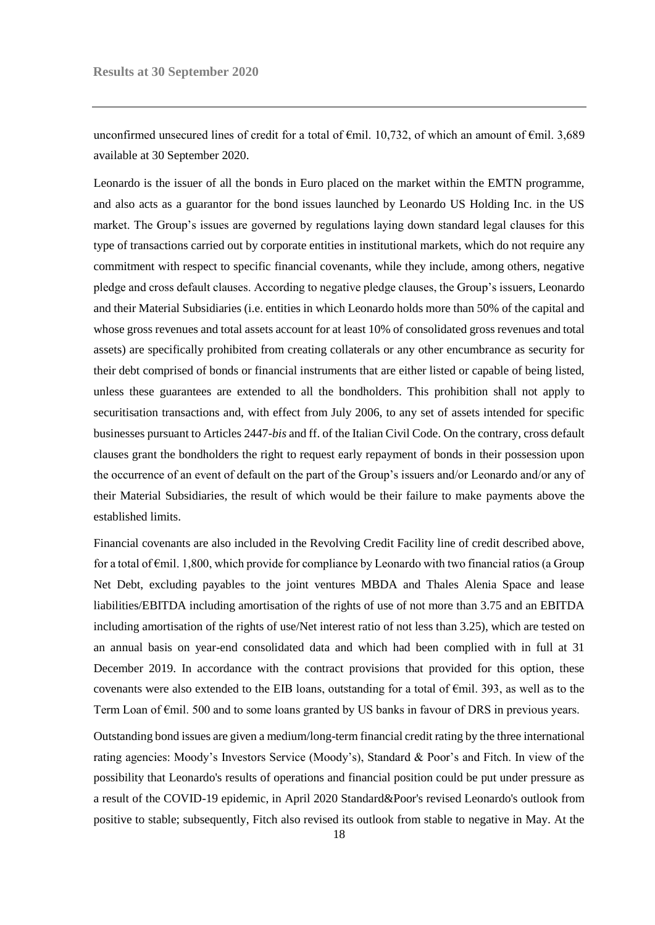unconfirmed unsecured lines of credit for a total of  $\epsilon$ mil. 10,732, of which an amount of  $\epsilon$ mil. 3,689 available at 30 September 2020.

Leonardo is the issuer of all the bonds in Euro placed on the market within the EMTN programme, and also acts as a guarantor for the bond issues launched by Leonardo US Holding Inc. in the US market. The Group's issues are governed by regulations laying down standard legal clauses for this type of transactions carried out by corporate entities in institutional markets, which do not require any commitment with respect to specific financial covenants, while they include, among others, negative pledge and cross default clauses. According to negative pledge clauses, the Group's issuers, Leonardo and their Material Subsidiaries (i.e. entities in which Leonardo holds more than 50% of the capital and whose gross revenues and total assets account for at least 10% of consolidated gross revenues and total assets) are specifically prohibited from creating collaterals or any other encumbrance as security for their debt comprised of bonds or financial instruments that are either listed or capable of being listed, unless these guarantees are extended to all the bondholders. This prohibition shall not apply to securitisation transactions and, with effect from July 2006, to any set of assets intended for specific businesses pursuant to Articles 2447*-bis* and ff. of the Italian Civil Code. On the contrary, cross default clauses grant the bondholders the right to request early repayment of bonds in their possession upon the occurrence of an event of default on the part of the Group's issuers and/or Leonardo and/or any of their Material Subsidiaries, the result of which would be their failure to make payments above the established limits.

Financial covenants are also included in the Revolving Credit Facility line of credit described above, for a total of  $\epsilon$ mil. 1,800, which provide for compliance by Leonardo with two financial ratios (a Group Net Debt, excluding payables to the joint ventures MBDA and Thales Alenia Space and lease liabilities/EBITDA including amortisation of the rights of use of not more than 3.75 and an EBITDA including amortisation of the rights of use/Net interest ratio of not less than 3.25), which are tested on an annual basis on year-end consolidated data and which had been complied with in full at 31 December 2019. In accordance with the contract provisions that provided for this option, these covenants were also extended to the EIB loans, outstanding for a total of  $\epsilon$ mil. 393, as well as to the Term Loan of €mil. 500 and to some loans granted by US banks in favour of DRS in previous years.

Outstanding bond issues are given a medium/long-term financial credit rating by the three international rating agencies: Moody's Investors Service (Moody's), Standard & Poor's and Fitch. In view of the possibility that Leonardo's results of operations and financial position could be put under pressure as a result of the COVID-19 epidemic, in April 2020 Standard&Poor's revised Leonardo's outlook from positive to stable; subsequently, Fitch also revised its outlook from stable to negative in May. At the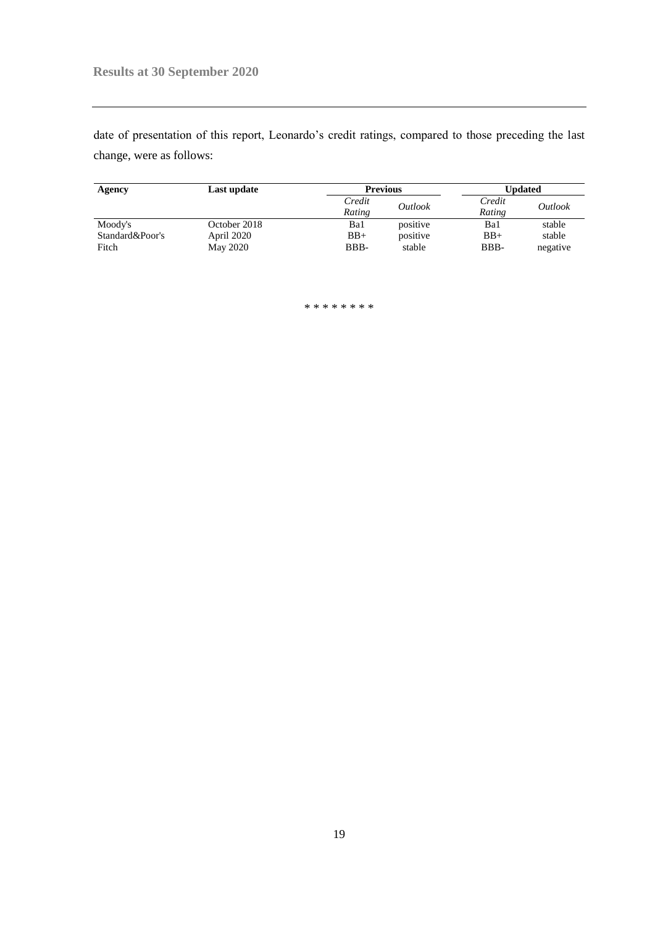date of presentation of this report, Leonardo's credit ratings, compared to those preceding the last change, were as follows:

| Agency          | Last update  | <b>Previous</b> |                | Updated |                |
|-----------------|--------------|-----------------|----------------|---------|----------------|
|                 |              | Credit          | <i>Outlook</i> | Credit  | <b>Outlook</b> |
|                 |              | Rating          |                | Rating  |                |
| Moody's         | October 2018 | Ba1             | positive       | Ba1     | stable         |
| Standard&Poor's | April 2020   | $BB+$           | positive       | $BB+$   | stable         |
| Fitch           | May 2020     | BBB-            | stable         | BBB-    | negative       |

\* \* \* \* \* \* \* \*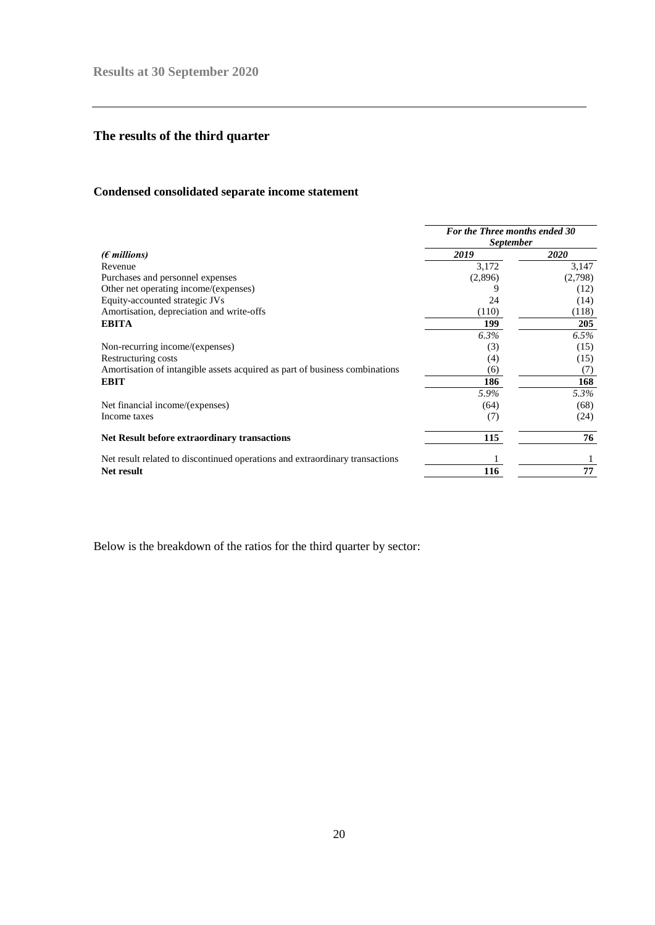# <span id="page-19-0"></span>**The results of the third quarter**

## **Condensed consolidated separate income statement**

|                                                                              | For the Three months ended 30<br><b>September</b> |         |  |
|------------------------------------------------------------------------------|---------------------------------------------------|---------|--|
| ( $\epsilon$ millions)                                                       | 2019                                              | 2020    |  |
| Revenue                                                                      | 3,172                                             | 3,147   |  |
| Purchases and personnel expenses                                             | (2,896)                                           | (2,798) |  |
| Other net operating income/(expenses)                                        |                                                   | (12)    |  |
| Equity-accounted strategic JVs                                               | 24                                                | (14)    |  |
| Amortisation, depreciation and write-offs                                    | (110)                                             | (118)   |  |
| <b>EBITA</b>                                                                 | 199                                               | 205     |  |
|                                                                              | 6.3%                                              | 6.5%    |  |
| Non-recurring income/(expenses)                                              | (3)                                               | (15)    |  |
| Restructuring costs                                                          | (4)                                               | (15)    |  |
| Amortisation of intangible assets acquired as part of business combinations  | (6)                                               | (7)     |  |
| <b>EBIT</b>                                                                  | 186                                               | 168     |  |
|                                                                              | 5.9%                                              | $5.3\%$ |  |
| Net financial income/(expenses)                                              | (64)                                              | (68)    |  |
| Income taxes                                                                 | (7)                                               | (24)    |  |
| Net Result before extraordinary transactions                                 | 115                                               | 76      |  |
| Net result related to discontinued operations and extraordinary transactions |                                                   |         |  |
| Net result                                                                   | 116                                               | 77      |  |

Below is the breakdown of the ratios for the third quarter by sector: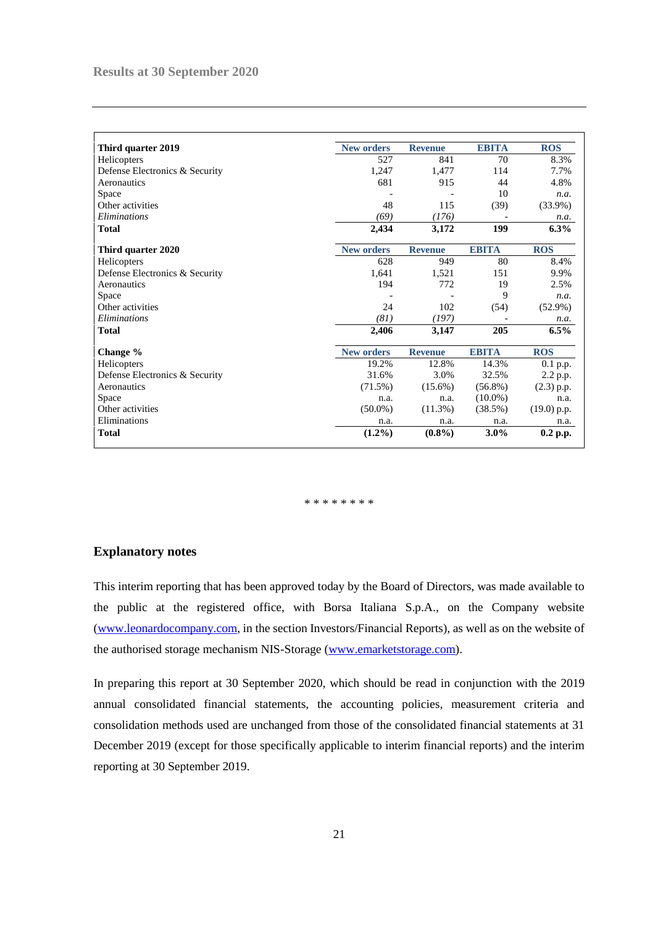| Third quarter 2019             | <b>New orders</b> | <b>Revenue</b> | <b>EBITA</b> | <b>ROS</b>    |
|--------------------------------|-------------------|----------------|--------------|---------------|
| Helicopters                    | 527               | 841            | 70           | 8.3%          |
| Defense Electronics & Security | 1,247             | 1,477          | 114          | 7.7%          |
| Aeronautics                    | 681               | 915            | 44           | 4.8%          |
| Space                          |                   |                | 10           | n.a.          |
| Other activities               | 48                | 115            | (39)         | $(33.9\%)$    |
| Eliminations                   | (69)              | (176)          |              | n.a.          |
| <b>Total</b>                   | 2,434             | 3,172          | 199          | 6.3%          |
| Third quarter 2020             | <b>New orders</b> | <b>Revenue</b> | <b>EBITA</b> | <b>ROS</b>    |
| Helicopters                    | 628               | 949            | 80           | 8.4%          |
| Defense Electronics & Security | 1.641             | 1,521          | 151          | 9.9%          |
| Aeronautics                    | 194               | 772            | 19           | 2.5%          |
| Space                          |                   |                | 9            | n.a.          |
| Other activities               | 24                | 102            | (54)         | $(52.9\%)$    |
| Eliminations                   | (81)              | (197)          |              | n.a.          |
| <b>Total</b>                   | 2,406             | 3,147          | 205          | 6.5%          |
| Change $%$                     | <b>New orders</b> | <b>Revenue</b> | <b>EBITA</b> | <b>ROS</b>    |
| Helicopters                    | 19.2%             | 12.8%          | 14.3%        | $0.1$ p.p.    |
| Defense Electronics & Security | 31.6%             | 3.0%           | 32.5%        | 2.2 p.p.      |
| Aeronautics                    | $(71.5\%)$        | $(15.6\%)$     | $(56.8\%)$   | $(2.3)$ p.p.  |
| Space                          | n.a.              | n.a.           | $(10.0\%)$   | n.a.          |
| Other activities               | $(50.0\%)$        | $(11.3\%)$     | (38.5%)      | $(19.0)$ p.p. |
| Eliminations                   | n.a.              | n.a.           | n.a.         | n.a.          |
| <b>Total</b>                   | $(1.2\%)$         | $(0.8\%)$      | 3.0%         | $0.2$ p.p.    |

\* \* \* \* \* \* \*

### <span id="page-20-0"></span>**Explanatory notes**

This interim reporting that has been approved today by the Board of Directors, was made available to the public at the registered office, with Borsa Italiana S.p.A., on the Company website [\(www.leonardocompany.com,](http://www.leonardocompany.com/) in the section Investors/Financial Reports), as well as on the website of the authorised storage mechanism NIS-Storage [\(www.emarketstorage.com\)](http://www.emarketstorage.com/).

In preparing this report at 30 September 2020, which should be read in conjunction with the 2019 annual consolidated financial statements, the accounting policies, measurement criteria and consolidation methods used are unchanged from those of the consolidated financial statements at 31 December 2019 (except for those specifically applicable to interim financial reports) and the interim reporting at 30 September 2019.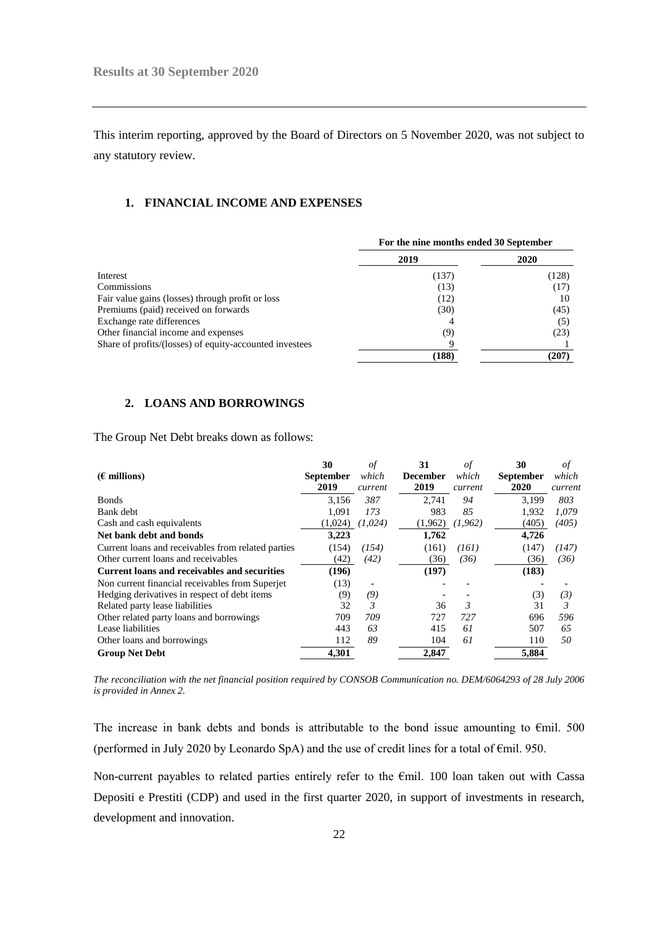This interim reporting, approved by the Board of Directors on 5 November 2020, was not subject to any statutory review.

## <span id="page-21-0"></span>**1. FINANCIAL INCOME AND EXPENSES**

|                                                         | For the nine months ended 30 September |       |
|---------------------------------------------------------|----------------------------------------|-------|
|                                                         | 2019                                   | 2020  |
| Interest                                                | (137)                                  | (128) |
| Commissions                                             | (13)                                   | (17)  |
| Fair value gains (losses) through profit or loss        | (12)                                   | 10    |
| Premiums (paid) received on forwards                    | (30)                                   | (45)  |
| Exchange rate differences                               |                                        | (5)   |
| Other financial income and expenses                     | (9)                                    | (23)  |
| Share of profits/(losses) of equity-accounted investees |                                        |       |
|                                                         | (188)                                  | (207) |

## <span id="page-21-1"></span>**2. LOANS AND BORROWINGS**

The Group Net Debt breaks down as follows:

|                                                    | 30               | οf                       | 31              | $\sigma f$ | 30               | οf      |
|----------------------------------------------------|------------------|--------------------------|-----------------|------------|------------------|---------|
| $(\epsilon$ millions)                              | <b>September</b> | which                    | <b>December</b> | which      | <b>September</b> | which   |
|                                                    | 2019             | current                  | 2019            | current    | 2020             | current |
| <b>Bonds</b>                                       | 3.156            | 387                      | 2.741           | 94         | 3.199            | 803     |
| Bank debt                                          | 1,091            | 173                      | 983             | 85         | 1,932            | 1,079   |
| Cash and cash equivalents                          | (1,024)          | (1,024)                  | (1.962)         | (1, 962)   | (405)            | (405)   |
| Net bank debt and bonds                            | 3,223            |                          | 1,762           |            | 4,726            |         |
| Current loans and receivables from related parties | (154)            | (154)                    | (161)           | (161)      | (147)            | (147)   |
| Other current loans and receivables                | (42)             | (42)                     | (36)            | (36)       | (36)             | (36)    |
| Current loans and receivables and securities       | (196)            |                          | (197)           |            | (183)            |         |
| Non current financial receivables from Superjet    | (13)             | $\overline{\phantom{a}}$ |                 |            |                  |         |
| Hedging derivatives in respect of debt items       | (9)              | (9)                      |                 |            | (3)              | (3)     |
| Related party lease liabilities                    | 32               | 3                        | 36              | 3          | 31               | 3       |
| Other related party loans and borrowings           | 709              | 709                      | 727             | 727        | 696              | 596     |
| Lease liabilities                                  | 443              | 63                       | 415             | 61         | 507              | 65      |
| Other loans and borrowings                         | 112              | 89                       | 104             | 61         | 110              | 50      |
| <b>Group Net Debt</b>                              | 4,301            |                          | 2,847           |            | 5,884            |         |

*The reconciliation with the net financial position required by CONSOB Communication no. DEM/6064293 of 28 July 2006 is provided in Annex 2.* 

The increase in bank debts and bonds is attributable to the bond issue amounting to  $\epsilon$ mil. 500 (performed in July 2020 by Leonardo SpA) and the use of credit lines for a total of €mil. 950.

Non-current payables to related parties entirely refer to the €mil. 100 loan taken out with Cassa Depositi e Prestiti (CDP) and used in the first quarter 2020, in support of investments in research, development and innovation.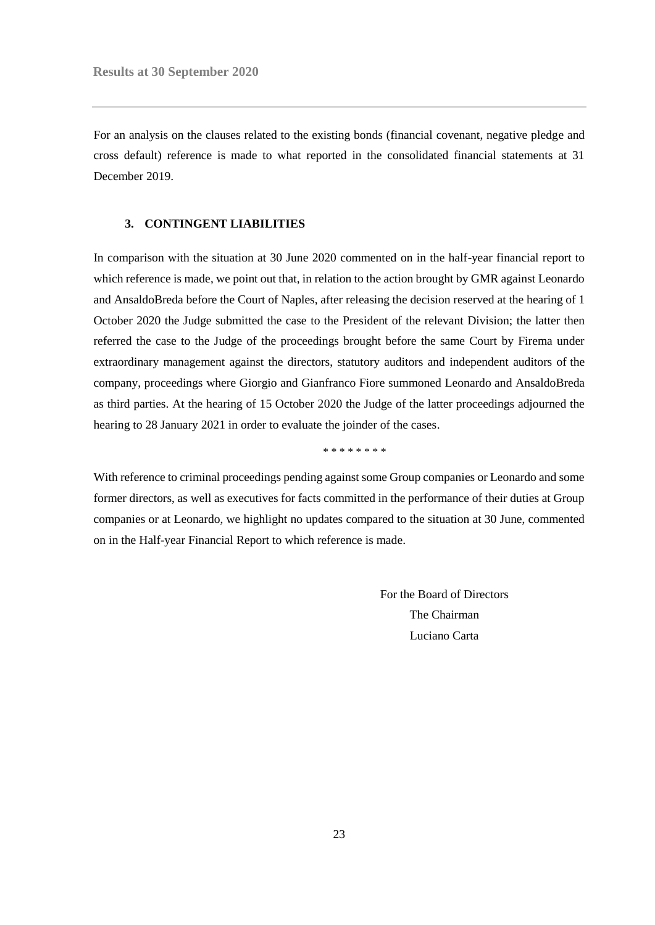For an analysis on the clauses related to the existing bonds (financial covenant, negative pledge and cross default) reference is made to what reported in the consolidated financial statements at 31 December 2019.

## <span id="page-22-0"></span>**3. CONTINGENT LIABILITIES**

In comparison with the situation at 30 June 2020 commented on in the half-year financial report to which reference is made, we point out that, in relation to the action brought by GMR against Leonardo and AnsaldoBreda before the Court of Naples, after releasing the decision reserved at the hearing of 1 October 2020 the Judge submitted the case to the President of the relevant Division; the latter then referred the case to the Judge of the proceedings brought before the same Court by Firema under extraordinary management against the directors, statutory auditors and independent auditors of the company, proceedings where Giorgio and Gianfranco Fiore summoned Leonardo and AnsaldoBreda as third parties. At the hearing of 15 October 2020 the Judge of the latter proceedings adjourned the hearing to 28 January 2021 in order to evaluate the joinder of the cases.

\* \* \* \* \* \* \* \*

With reference to criminal proceedings pending against some Group companies or Leonardo and some former directors, as well as executives for facts committed in the performance of their duties at Group companies or at Leonardo, we highlight no updates compared to the situation at 30 June, commented on in the Half-year Financial Report to which reference is made.

> For the Board of Directors The Chairman Luciano Carta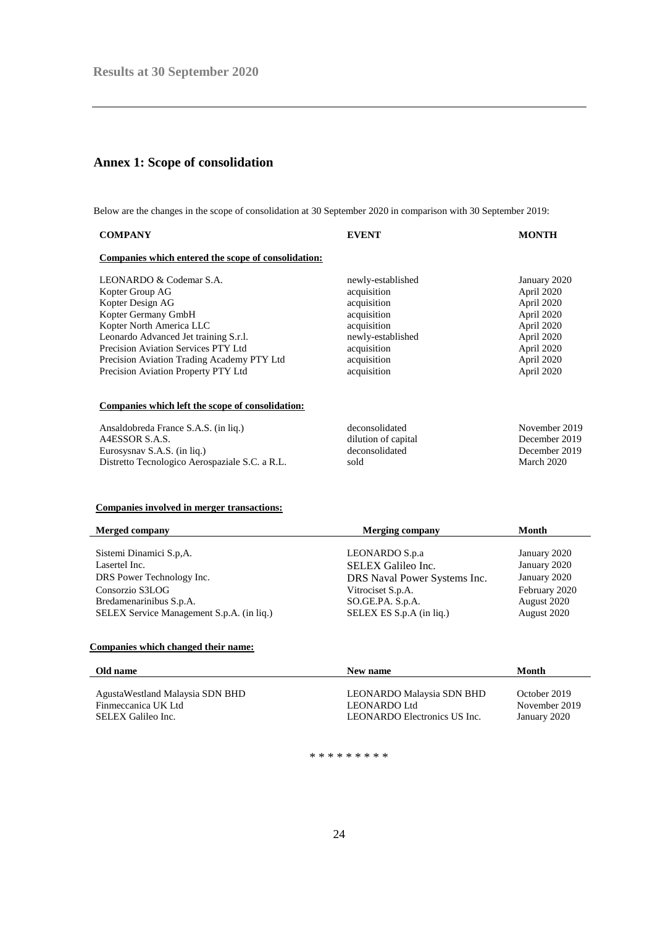# <span id="page-23-0"></span>**Annex 1: Scope of consolidation**

Below are the changes in the scope of consolidation at 30 September 2020 in comparison with 30 September 2019:

| <b>COMPANY</b>                                                                                                                                                                                                                                                                         | <b>EVENT</b>                                                                                                                                    | <b>MONTH</b>                                                                                                                 |
|----------------------------------------------------------------------------------------------------------------------------------------------------------------------------------------------------------------------------------------------------------------------------------------|-------------------------------------------------------------------------------------------------------------------------------------------------|------------------------------------------------------------------------------------------------------------------------------|
| Companies which entered the scope of consolidation:                                                                                                                                                                                                                                    |                                                                                                                                                 |                                                                                                                              |
| LEONARDO & Codemar S.A.<br>Kopter Group AG<br>Kopter Design AG<br>Kopter Germany GmbH<br>Kopter North America LLC<br>Leonardo Advanced Jet training S.r.l.<br>Precision Aviation Services PTY Ltd<br>Precision Aviation Trading Academy PTY Ltd<br>Precision Aviation Property PTY Ltd | newly-established<br>acquisition<br>acquisition<br>acquisition<br>acquisition<br>newly-established<br>acquisition<br>acquisition<br>acquisition | January 2020<br>April 2020<br>April 2020<br>April 2020<br>April 2020<br>April 2020<br>April 2020<br>April 2020<br>April 2020 |
| Companies which left the scope of consolidation:                                                                                                                                                                                                                                       |                                                                                                                                                 |                                                                                                                              |

| Ansaldobreda France S.A.S. (in lig.)           | deconsolidated      | November 2019 |
|------------------------------------------------|---------------------|---------------|
| A4ESSOR S.A.S.                                 | dilution of capital | December 2019 |
| Eurosysnav S.A.S. (in lig.)                    | deconsolidated      | December 2019 |
| Distretto Tecnologico Aerospaziale S.C. a R.L. | sold                | March 2020    |

#### **Companies involved in merger transactions:**

| <b>Merged company</b>                                                                   | <b>Merging company</b>                                                                            | <b>Month</b>                                 |
|-----------------------------------------------------------------------------------------|---------------------------------------------------------------------------------------------------|----------------------------------------------|
| Sistemi Dinamici S.p.A.<br>Lasertel Inc.<br>DRS Power Technology Inc.                   | LEONARDO S.p.a<br>SELEX Galileo Inc.                                                              | January 2020<br>January 2020<br>January 2020 |
| Consorzio S3LOG<br>Bredamenarinibus S.p.A.<br>SELEX Service Management S.p.A. (in liq.) | DRS Naval Power Systems Inc.<br>Vitrociset S.p.A.<br>SO.GE.PA. S.p.A.<br>SELEX ES S.p.A (in liq.) | February 2020<br>August 2020<br>August 2020  |

#### **Companies which changed their name:**

| Old name                         | New name                     | Month         |
|----------------------------------|------------------------------|---------------|
| Agusta Westland Malaysia SDN BHD | LEONARDO Malaysia SDN BHD    | October 2019  |
| Finmeccanica UK Ltd              | LEONARDO Ltd                 | November 2019 |
| SELEX Galileo Inc.               | LEONARDO Electronics US Inc. | January 2020  |

\* \* \* \* \* \* \* \* \*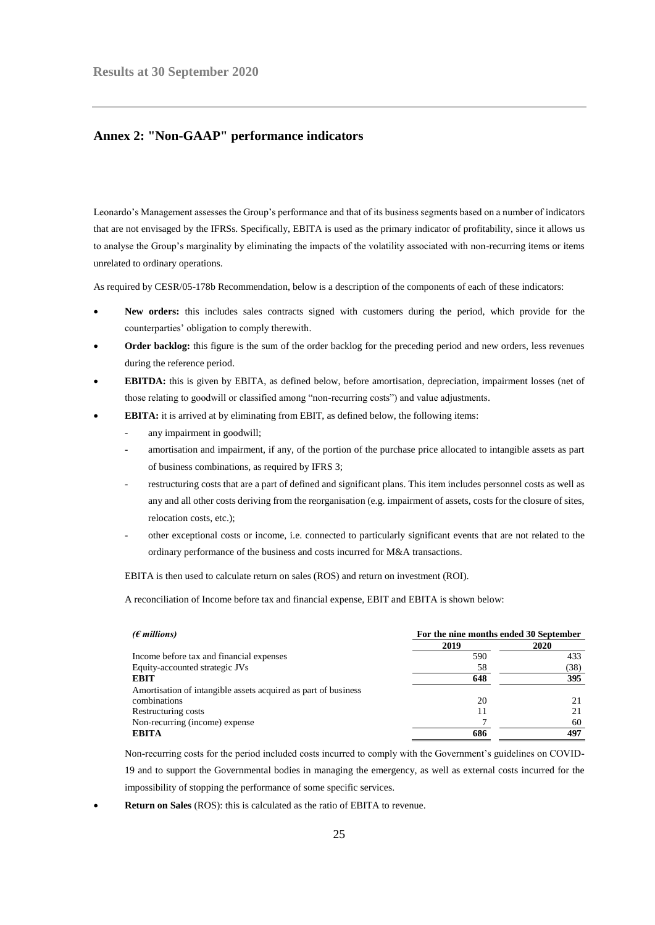#### <span id="page-24-0"></span>**Annex 2: "Non-GAAP" performance indicators**

Leonardo's Management assesses the Group's performance and that of its business segments based on a number of indicators that are not envisaged by the IFRSs. Specifically, EBITA is used as the primary indicator of profitability, since it allows us to analyse the Group's marginality by eliminating the impacts of the volatility associated with non-recurring items or items unrelated to ordinary operations.

As required by CESR/05-178b Recommendation, below is a description of the components of each of these indicators:

- **New orders:** this includes sales contracts signed with customers during the period, which provide for the counterparties' obligation to comply therewith.
- **Order backlog:** this figure is the sum of the order backlog for the preceding period and new orders, less revenues during the reference period.
- **EBITDA:** this is given by EBITA, as defined below, before amortisation, depreciation, impairment losses (net of those relating to goodwill or classified among "non-recurring costs") and value adjustments.
- **EBITA:** it is arrived at by eliminating from EBIT, as defined below, the following items:
	- any impairment in goodwill;
	- amortisation and impairment, if any, of the portion of the purchase price allocated to intangible assets as part of business combinations, as required by IFRS 3;
	- restructuring costs that are a part of defined and significant plans. This item includes personnel costs as well as any and all other costs deriving from the reorganisation (e.g. impairment of assets, costs for the closure of sites, relocation costs, etc.);
	- other exceptional costs or income, i.e. connected to particularly significant events that are not related to the ordinary performance of the business and costs incurred for M&A transactions.

EBITA is then used to calculate return on sales (ROS) and return on investment (ROI).

A reconciliation of Income before tax and financial expense, EBIT and EBITA is shown below:

| ( $\epsilon$ millions)                                         | For the nine months ended 30 September |      |  |
|----------------------------------------------------------------|----------------------------------------|------|--|
|                                                                | 2019                                   | 2020 |  |
| Income before tax and financial expenses                       | 590                                    | 433  |  |
| Equity-accounted strategic JVs                                 | 58                                     | (38) |  |
| EBIT                                                           | 648                                    | 395  |  |
| Amortisation of intangible assets acquired as part of business |                                        |      |  |
| combinations                                                   | 20                                     | 21   |  |
| Restructuring costs                                            | 11                                     | 21   |  |
| Non-recurring (income) expense                                 |                                        | 60   |  |
| <b>EBITA</b>                                                   | 686                                    | 497  |  |

Non-recurring costs for the period included costs incurred to comply with the Government's guidelines on COVID-

19 and to support the Governmental bodies in managing the emergency, as well as external costs incurred for the impossibility of stopping the performance of some specific services.

**Return on Sales** (ROS): this is calculated as the ratio of EBITA to revenue.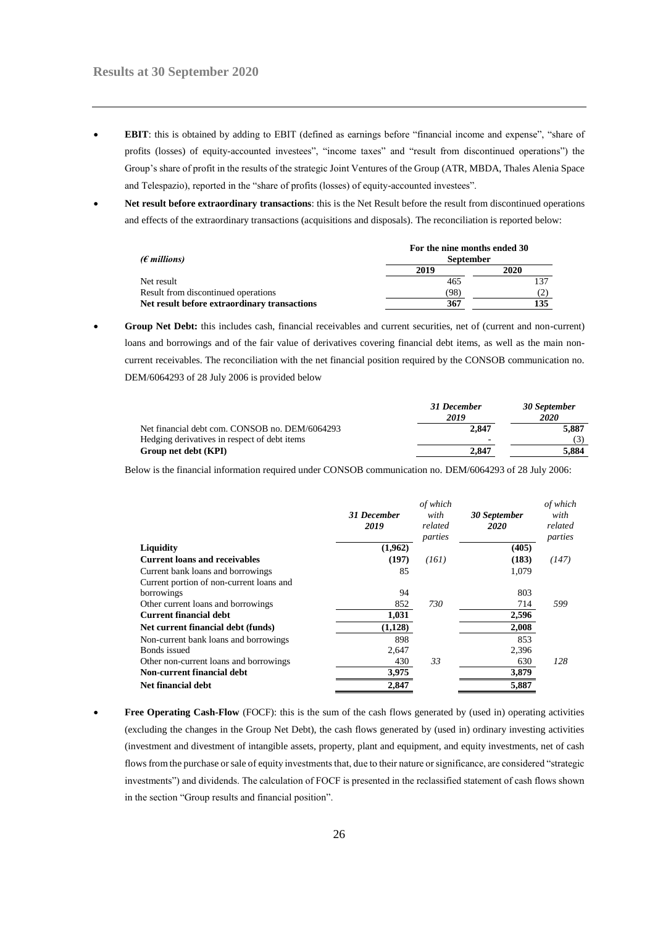- **EBIT**: this is obtained by adding to EBIT (defined as earnings before "financial income and expense", "share of profits (losses) of equity-accounted investees", "income taxes" and "result from discontinued operations") the Group's share of profit in the results of the strategic Joint Ventures of the Group (ATR, MBDA, Thales Alenia Space and Telespazio), reported in the "share of profits (losses) of equity-accounted investees".
- **Net result before extraordinary transactions**: this is the Net Result before the result from discontinued operations and effects of the extraordinary transactions (acquisitions and disposals). The reconciliation is reported below:

| ( $\epsilon$ millions)                       | For the nine months ended 30<br><b>September</b> |      |
|----------------------------------------------|--------------------------------------------------|------|
|                                              | 2019                                             | 2020 |
| Net result                                   | 465                                              | 137  |
| Result from discontinued operations          | (98)                                             |      |
| Net result before extraordinary transactions | 367                                              | 135  |

 **Group Net Debt:** this includes cash, financial receivables and current securities, net of (current and non-current) loans and borrowings and of the fair value of derivatives covering financial debt items, as well as the main noncurrent receivables. The reconciliation with the net financial position required by the CONSOB communication no. DEM/6064293 of 28 July 2006 is provided below

|                                                | 31 December<br>2019 | 30 September<br>2020 |
|------------------------------------------------|---------------------|----------------------|
| Net financial debt com. CONSOB no. DEM/6064293 | 2.847               | 5.887                |
| Hedging derivatives in respect of debt items   | $\overline{a}$      | (3)                  |
| Group net debt (KPI)                           | 2.847               | 5.884                |

Below is the financial information required under CONSOB communication no. DEM/6064293 of 28 July 2006:

|                                                                               |                            | of which                   |                             | of which                   |
|-------------------------------------------------------------------------------|----------------------------|----------------------------|-----------------------------|----------------------------|
|                                                                               | <b>31 December</b><br>2019 | with<br>related<br>parties | 30 September<br><i>2020</i> | with<br>related<br>parties |
| Liquidity                                                                     | (1,962)                    |                            | (405)                       |                            |
| <b>Current loans and receivables</b>                                          | (197)                      | (161)                      | (183)                       | (147)                      |
| Current bank loans and borrowings<br>Current portion of non-current loans and | 85                         |                            | 1,079                       |                            |
| borrowings                                                                    | 94                         |                            | 803                         |                            |
| Other current loans and borrowings                                            | 852                        | 730                        | 714                         | 599                        |
| <b>Current financial debt</b>                                                 | 1,031                      |                            | 2,596                       |                            |
| Net current financial debt (funds)                                            | (1,128)                    |                            | 2,008                       |                            |
| Non-current bank loans and borrowings                                         | 898                        |                            | 853                         |                            |
| Bonds issued                                                                  | 2,647                      |                            | 2,396                       |                            |
| Other non-current loans and borrowings                                        | 430                        | 33                         | 630                         | 128                        |
| Non-current financial debt                                                    | 3,975                      |                            | 3,879                       |                            |
| <b>Net financial debt</b>                                                     | 2,847                      |                            | 5,887                       |                            |

**Free Operating Cash-Flow** (FOCF): this is the sum of the cash flows generated by (used in) operating activities (excluding the changes in the Group Net Debt), the cash flows generated by (used in) ordinary investing activities (investment and divestment of intangible assets, property, plant and equipment, and equity investments, net of cash flows from the purchase or sale of equity investments that, due to their nature or significance, are considered "strategic investments") and dividends. The calculation of FOCF is presented in the reclassified statement of cash flows shown in the section "Group results and financial position".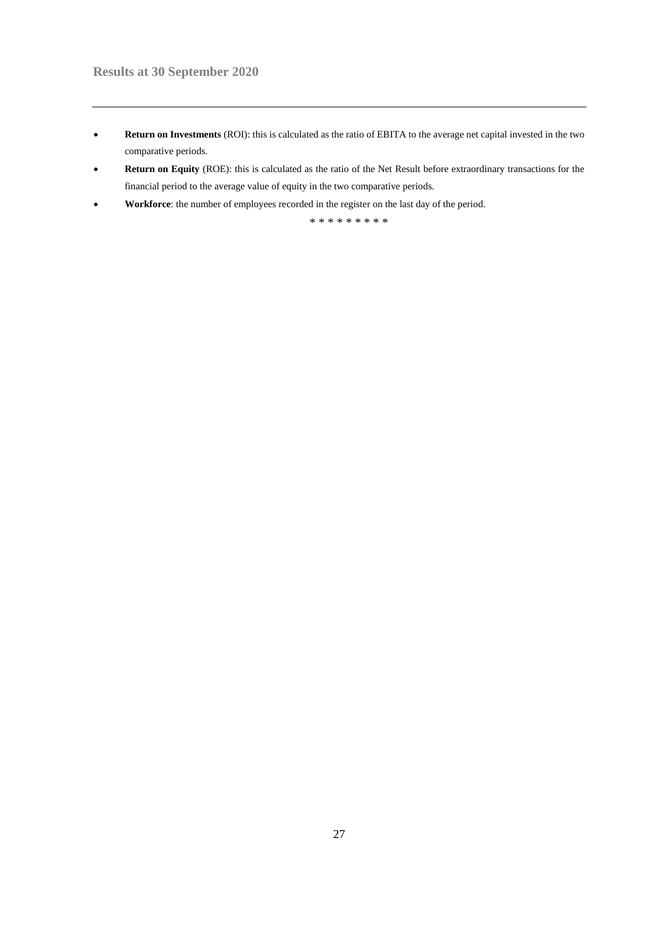- **Return on Investments** (ROI): this is calculated as the ratio of EBITA to the average net capital invested in the two comparative periods.
- **Return on Equity** (ROE): this is calculated as the ratio of the Net Result before extraordinary transactions for the financial period to the average value of equity in the two comparative periods.
- **Workforce**: the number of employees recorded in the register on the last day of the period.

\* \* \* \* \* \* \* \* \*